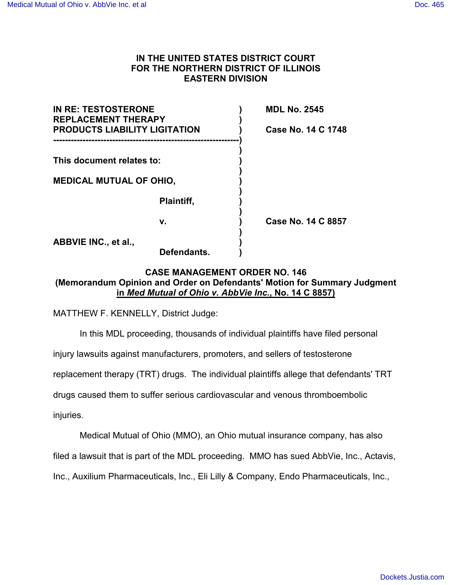## **IN THE UNITED STATES DISTRICT COURT FOR THE NORTHERN DISTRICT OF ILLINOIS EASTERN DIVISION**

| <b>IN RE: TESTOSTERONE</b><br><b>REPLACEMENT THERAPY</b><br><b>PRODUCTS LIABILITY LIGITATION</b> |             | <b>MDL No. 2545</b><br>Case No. 14 C 1748 |
|--------------------------------------------------------------------------------------------------|-------------|-------------------------------------------|
|                                                                                                  |             |                                           |
| <b>MEDICAL MUTUAL OF OHIO,</b>                                                                   |             |                                           |
|                                                                                                  | Plaintiff,  |                                           |
|                                                                                                  | v.          | Case No. 14 C 8857                        |
| ABBVIE INC., et al.,                                                                             | Defendants. |                                           |

# **CASE MANAGEMENT ORDER NO. 146 (Memorandum Opinion and Order on Defendants' Motion for Summary Judgment in** *Med Mutual of Ohio v. AbbVie Inc.***, No. 14 C 8857)**

MATTHEW F. KENNELLY, District Judge:

In this MDL proceeding, thousands of individual plaintiffs have filed personal

injury lawsuits against manufacturers, promoters, and sellers of testosterone

replacement therapy (TRT) drugs. The individual plaintiffs allege that defendants' TRT

drugs caused them to suffer serious cardiovascular and venous thromboembolic

injuries.

Medical Mutual of Ohio (MMO), an Ohio mutual insurance company, has also

filed a lawsuit that is part of the MDL proceeding. MMO has sued AbbVie, Inc., Actavis,

Inc., Auxilium Pharmaceuticals, Inc., Eli Lilly & Company, Endo Pharmaceuticals, Inc.,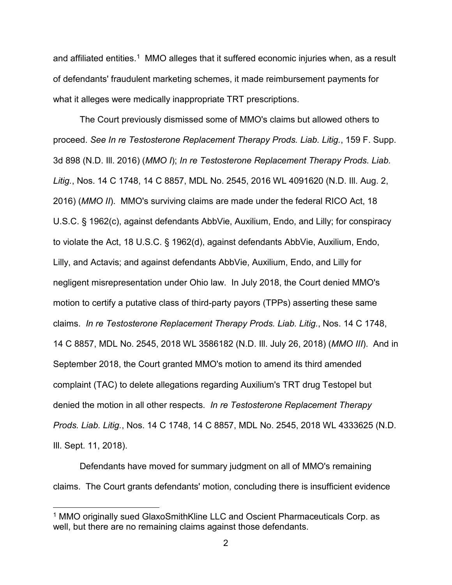and affiliated entities.<sup>[1](#page-1-0)</sup> MMO alleges that it suffered economic injuries when, as a result of defendants' fraudulent marketing schemes, it made reimbursement payments for what it alleges were medically inappropriate TRT prescriptions.

The Court previously dismissed some of MMO's claims but allowed others to proceed. *See In re Testosterone Replacement Therapy Prods. Liab. Litig.*, 159 F. Supp. 3d 898 (N.D. Ill. 2016) (*MMO I*); *In re Testosterone Replacement Therapy Prods. Liab. Litig.*, Nos. 14 C 1748, 14 C 8857, MDL No. 2545, 2016 WL 4091620 (N.D. Ill. Aug. 2, 2016) (*MMO II*). MMO's surviving claims are made under the federal RICO Act, 18 U.S.C. § 1962(c), against defendants AbbVie, Auxilium, Endo, and Lilly; for conspiracy to violate the Act, 18 U.S.C. § 1962(d), against defendants AbbVie, Auxilium, Endo, Lilly, and Actavis; and against defendants AbbVie, Auxilium, Endo, and Lilly for negligent misrepresentation under Ohio law. In July 2018, the Court denied MMO's motion to certify a putative class of third-party payors (TPPs) asserting these same claims. *In re Testosterone Replacement Therapy Prods. Liab. Litig.*, Nos. 14 C 1748, 14 C 8857, MDL No. 2545, 2018 WL 3586182 (N.D. Ill. July 26, 2018) (*MMO III*). And in September 2018, the Court granted MMO's motion to amend its third amended complaint (TAC) to delete allegations regarding Auxilium's TRT drug Testopel but denied the motion in all other respects. *In re Testosterone Replacement Therapy Prods. Liab. Litig.*, Nos. 14 C 1748, 14 C 8857, MDL No. 2545, 2018 WL 4333625 (N.D. Ill. Sept. 11, 2018).

Defendants have moved for summary judgment on all of MMO's remaining claims. The Court grants defendants' motion, concluding there is insufficient evidence

 $\overline{a}$ 

<span id="page-1-0"></span><sup>1</sup> MMO originally sued GlaxoSmithKline LLC and Oscient Pharmaceuticals Corp. as well, but there are no remaining claims against those defendants.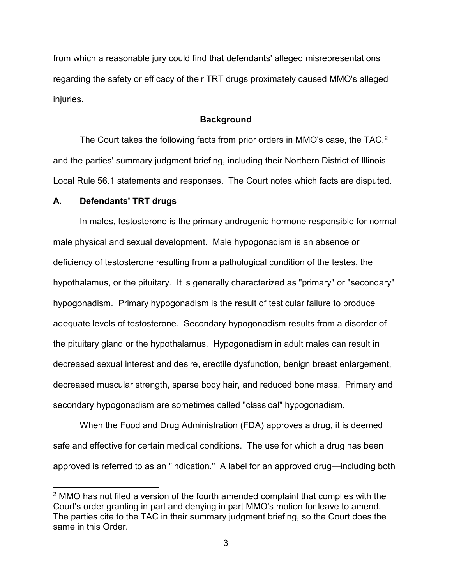from which a reasonable jury could find that defendants' alleged misrepresentations regarding the safety or efficacy of their TRT drugs proximately caused MMO's alleged injuries.

### **Background**

The Court takes the following facts from prior orders in MMO's case, the TAC,<sup>[2](#page-2-0)</sup> and the parties' summary judgment briefing, including their Northern District of Illinois Local Rule 56.1 statements and responses. The Court notes which facts are disputed.

#### **A. Defendants' TRT drugs**

 $\overline{a}$ 

In males, testosterone is the primary androgenic hormone responsible for normal male physical and sexual development. Male hypogonadism is an absence or deficiency of testosterone resulting from a pathological condition of the testes, the hypothalamus, or the pituitary. It is generally characterized as "primary" or "secondary" hypogonadism. Primary hypogonadism is the result of testicular failure to produce adequate levels of testosterone. Secondary hypogonadism results from a disorder of the pituitary gland or the hypothalamus. Hypogonadism in adult males can result in decreased sexual interest and desire, erectile dysfunction, benign breast enlargement, decreased muscular strength, sparse body hair, and reduced bone mass. Primary and secondary hypogonadism are sometimes called "classical" hypogonadism.

When the Food and Drug Administration (FDA) approves a drug, it is deemed safe and effective for certain medical conditions. The use for which a drug has been approved is referred to as an "indication." A label for an approved drug—including both

<span id="page-2-0"></span> $2$  MMO has not filed a version of the fourth amended complaint that complies with the Court's order granting in part and denying in part MMO's motion for leave to amend. The parties cite to the TAC in their summary judgment briefing, so the Court does the same in this Order.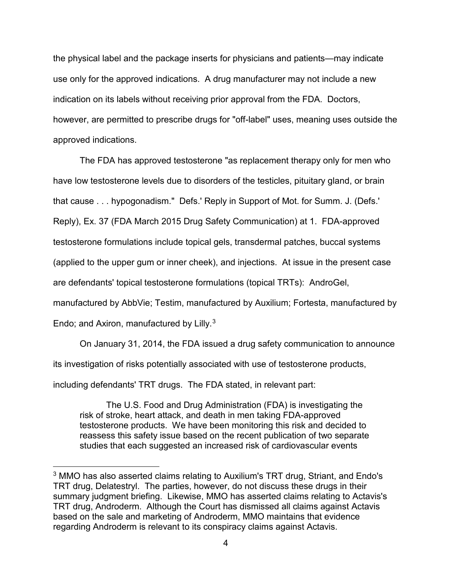the physical label and the package inserts for physicians and patients—may indicate use only for the approved indications. A drug manufacturer may not include a new indication on its labels without receiving prior approval from the FDA. Doctors, however, are permitted to prescribe drugs for "off-label" uses, meaning uses outside the approved indications.

The FDA has approved testosterone "as replacement therapy only for men who have low testosterone levels due to disorders of the testicles, pituitary gland, or brain that cause . . . hypogonadism." Defs.' Reply in Support of Mot. for Summ. J. (Defs.' Reply), Ex. 37 (FDA March 2015 Drug Safety Communication) at 1. FDA-approved testosterone formulations include topical gels, transdermal patches, buccal systems (applied to the upper gum or inner cheek), and injections. At issue in the present case are defendants' topical testosterone formulations (topical TRTs): AndroGel, manufactured by AbbVie; Testim, manufactured by Auxilium; Fortesta, manufactured by Endo; and Axiron, manufactured by Lilly.<sup>[3](#page-3-0)</sup>

On January 31, 2014, the FDA issued a drug safety communication to announce its investigation of risks potentially associated with use of testosterone products, including defendants' TRT drugs. The FDA stated, in relevant part:

The U.S. Food and Drug Administration (FDA) is investigating the risk of stroke, heart attack, and death in men taking FDA-approved testosterone products. We have been monitoring this risk and decided to reassess this safety issue based on the recent publication of two separate studies that each suggested an increased risk of cardiovascular events

 $\overline{a}$ 

<span id="page-3-0"></span><sup>3</sup> MMO has also asserted claims relating to Auxilium's TRT drug, Striant, and Endo's TRT drug, Delatestryl. The parties, however, do not discuss these drugs in their summary judgment briefing. Likewise, MMO has asserted claims relating to Actavis's TRT drug, Androderm. Although the Court has dismissed all claims against Actavis based on the sale and marketing of Androderm, MMO maintains that evidence regarding Androderm is relevant to its conspiracy claims against Actavis.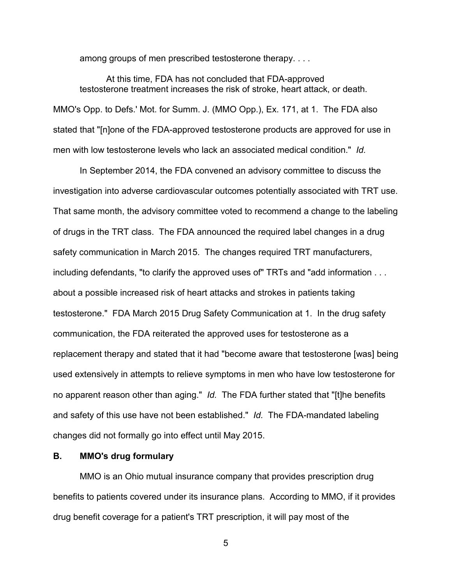among groups of men prescribed testosterone therapy. . . .

At this time, FDA has not concluded that FDA-approved testosterone treatment increases the risk of stroke, heart attack, or death. MMO's Opp. to Defs.' Mot. for Summ. J. (MMO Opp.), Ex. 171, at 1. The FDA also stated that "[n]one of the FDA-approved testosterone products are approved for use in men with low testosterone levels who lack an associated medical condition." *Id.*

In September 2014, the FDA convened an advisory committee to discuss the investigation into adverse cardiovascular outcomes potentially associated with TRT use. That same month, the advisory committee voted to recommend a change to the labeling of drugs in the TRT class. The FDA announced the required label changes in a drug safety communication in March 2015. The changes required TRT manufacturers, including defendants, "to clarify the approved uses of" TRTs and "add information . . . about a possible increased risk of heart attacks and strokes in patients taking testosterone." FDA March 2015 Drug Safety Communication at 1. In the drug safety communication, the FDA reiterated the approved uses for testosterone as a replacement therapy and stated that it had "become aware that testosterone [was] being used extensively in attempts to relieve symptoms in men who have low testosterone for no apparent reason other than aging." *Id.* The FDA further stated that "[t]he benefits and safety of this use have not been established." *Id.* The FDA-mandated labeling changes did not formally go into effect until May 2015.

## **B. MMO's drug formulary**

MMO is an Ohio mutual insurance company that provides prescription drug benefits to patients covered under its insurance plans. According to MMO, if it provides drug benefit coverage for a patient's TRT prescription, it will pay most of the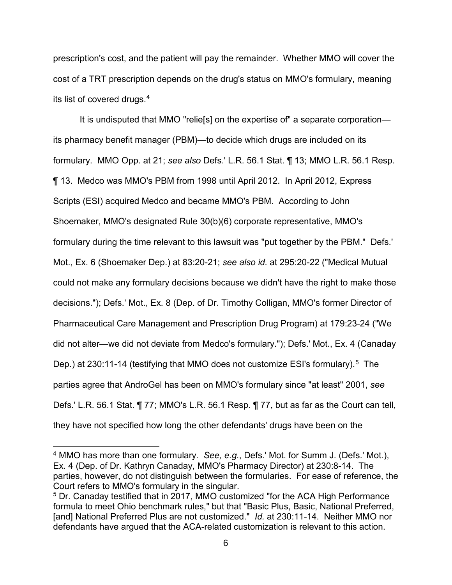prescription's cost, and the patient will pay the remainder. Whether MMO will cover the cost of a TRT prescription depends on the drug's status on MMO's formulary, meaning its list of covered drugs. [4](#page-5-0)

It is undisputed that MMO "relie[s] on the expertise of" a separate corporation its pharmacy benefit manager (PBM)—to decide which drugs are included on its formulary. MMO Opp. at 21; *see also* Defs.' L.R. 56.1 Stat. ¶ 13; MMO L.R. 56.1 Resp. ¶ 13. Medco was MMO's PBM from 1998 until April 2012. In April 2012, Express Scripts (ESI) acquired Medco and became MMO's PBM. According to John Shoemaker, MMO's designated Rule 30(b)(6) corporate representative, MMO's formulary during the time relevant to this lawsuit was "put together by the PBM." Defs.' Mot., Ex. 6 (Shoemaker Dep.) at 83:20-21; *see also id.* at 295:20-22 ("Medical Mutual could not make any formulary decisions because we didn't have the right to make those decisions."); Defs.' Mot., Ex. 8 (Dep. of Dr. Timothy Colligan, MMO's former Director of Pharmaceutical Care Management and Prescription Drug Program) at 179:23-24 ("We did not alter—we did not deviate from Medco's formulary."); Defs.' Mot., Ex. 4 (Canaday Dep.) at 230:11-14 (testifying that MMO does not customize ESI's formulary).<sup>[5](#page-5-1)</sup> The parties agree that AndroGel has been on MMO's formulary since "at least" 2001, *see*  Defs.' L.R. 56.1 Stat. ¶ 77; MMO's L.R. 56.1 Resp. ¶ 77, but as far as the Court can tell, they have not specified how long the other defendants' drugs have been on the

 $\overline{a}$ 

<span id="page-5-0"></span><sup>4</sup> MMO has more than one formulary. *See, e.g.*, Defs.' Mot. for Summ J. (Defs.' Mot.), Ex. 4 (Dep. of Dr. Kathryn Canaday, MMO's Pharmacy Director) at 230:8-14. The parties, however, do not distinguish between the formularies. For ease of reference, the Court refers to MMO's formulary in the singular.

<span id="page-5-1"></span><sup>5</sup> Dr. Canaday testified that in 2017, MMO customized "for the ACA High Performance formula to meet Ohio benchmark rules," but that "Basic Plus, Basic, National Preferred, [and] National Preferred Plus are not customized." *Id.* at 230:11-14. Neither MMO nor defendants have argued that the ACA-related customization is relevant to this action.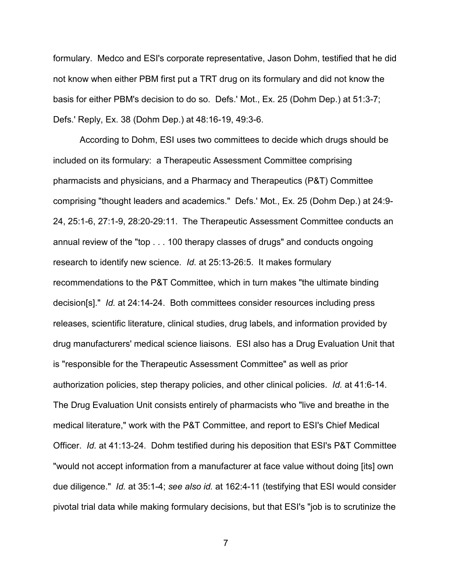formulary. Medco and ESI's corporate representative, Jason Dohm, testified that he did not know when either PBM first put a TRT drug on its formulary and did not know the basis for either PBM's decision to do so. Defs.' Mot., Ex. 25 (Dohm Dep.) at 51:3-7; Defs.' Reply, Ex. 38 (Dohm Dep.) at 48:16-19, 49:3-6.

 According to Dohm, ESI uses two committees to decide which drugs should be included on its formulary: a Therapeutic Assessment Committee comprising pharmacists and physicians, and a Pharmacy and Therapeutics (P&T) Committee comprising "thought leaders and academics." Defs.' Mot., Ex. 25 (Dohm Dep.) at 24:9- 24, 25:1-6, 27:1-9, 28:20-29:11. The Therapeutic Assessment Committee conducts an annual review of the "top . . . 100 therapy classes of drugs" and conducts ongoing research to identify new science. *Id.* at 25:13-26:5. It makes formulary recommendations to the P&T Committee, which in turn makes "the ultimate binding decision[s]." *Id.* at 24:14-24. Both committees consider resources including press releases, scientific literature, clinical studies, drug labels, and information provided by drug manufacturers' medical science liaisons. ESI also has a Drug Evaluation Unit that is "responsible for the Therapeutic Assessment Committee" as well as prior authorization policies, step therapy policies, and other clinical policies. *Id.* at 41:6-14. The Drug Evaluation Unit consists entirely of pharmacists who "live and breathe in the medical literature," work with the P&T Committee, and report to ESI's Chief Medical Officer. *Id.* at 41:13-24. Dohm testified during his deposition that ESI's P&T Committee "would not accept information from a manufacturer at face value without doing [its] own due diligence." *Id.* at 35:1-4; *see also id.* at 162:4-11 (testifying that ESI would consider pivotal trial data while making formulary decisions, but that ESI's "job is to scrutinize the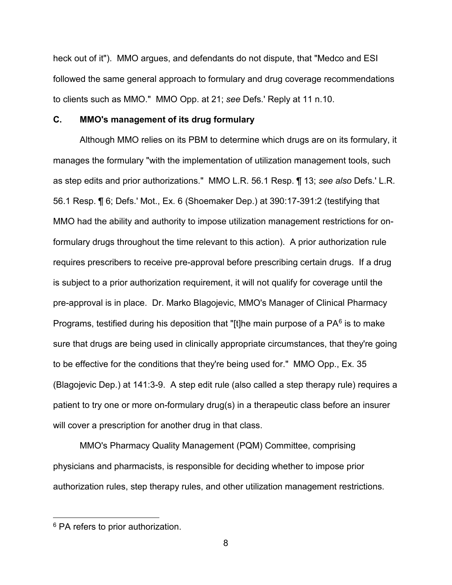heck out of it"). MMO argues, and defendants do not dispute, that "Medco and ESI followed the same general approach to formulary and drug coverage recommendations to clients such as MMO." MMO Opp. at 21; *see* Defs.' Reply at 11 n.10.

## **C. MMO's management of its drug formulary**

Although MMO relies on its PBM to determine which drugs are on its formulary, it manages the formulary "with the implementation of utilization management tools, such as step edits and prior authorizations." MMO L.R. 56.1 Resp. ¶ 13; *see also* Defs.' L.R. 56.1 Resp. ¶ 6; Defs.' Mot., Ex. 6 (Shoemaker Dep.) at 390:17-391:2 (testifying that MMO had the ability and authority to impose utilization management restrictions for onformulary drugs throughout the time relevant to this action). A prior authorization rule requires prescribers to receive pre-approval before prescribing certain drugs. If a drug is subject to a prior authorization requirement, it will not qualify for coverage until the pre-approval is in place. Dr. Marko Blagojevic, MMO's Manager of Clinical Pharmacy Programs, testified during his deposition that "[t]he main purpose of a PA $<sup>6</sup>$  $<sup>6</sup>$  $<sup>6</sup>$  is to make</sup> sure that drugs are being used in clinically appropriate circumstances, that they're going to be effective for the conditions that they're being used for." MMO Opp., Ex. 35 (Blagojevic Dep.) at 141:3-9. A step edit rule (also called a step therapy rule) requires a patient to try one or more on-formulary drug(s) in a therapeutic class before an insurer will cover a prescription for another drug in that class.

MMO's Pharmacy Quality Management (PQM) Committee, comprising physicians and pharmacists, is responsible for deciding whether to impose prior authorization rules, step therapy rules, and other utilization management restrictions.

<u>.</u>

<span id="page-7-0"></span><sup>&</sup>lt;sup>6</sup> PA refers to prior authorization.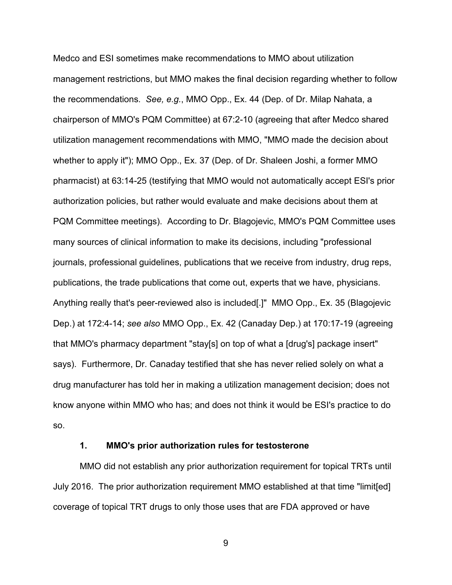Medco and ESI sometimes make recommendations to MMO about utilization management restrictions, but MMO makes the final decision regarding whether to follow the recommendations. *See, e.g.*, MMO Opp., Ex. 44 (Dep. of Dr. Milap Nahata, a chairperson of MMO's PQM Committee) at 67:2-10 (agreeing that after Medco shared utilization management recommendations with MMO, "MMO made the decision about whether to apply it"); MMO Opp., Ex. 37 (Dep. of Dr. Shaleen Joshi, a former MMO pharmacist) at 63:14-25 (testifying that MMO would not automatically accept ESI's prior authorization policies, but rather would evaluate and make decisions about them at PQM Committee meetings). According to Dr. Blagojevic, MMO's PQM Committee uses many sources of clinical information to make its decisions, including "professional journals, professional guidelines, publications that we receive from industry, drug reps, publications, the trade publications that come out, experts that we have, physicians. Anything really that's peer-reviewed also is included[.]" MMO Opp., Ex. 35 (Blagojevic Dep.) at 172:4-14; *see also* MMO Opp., Ex. 42 (Canaday Dep.) at 170:17-19 (agreeing that MMO's pharmacy department "stay[s] on top of what a [drug's] package insert" says). Furthermore, Dr. Canaday testified that she has never relied solely on what a drug manufacturer has told her in making a utilization management decision; does not know anyone within MMO who has; and does not think it would be ESI's practice to do so.

#### **1. MMO's prior authorization rules for testosterone**

MMO did not establish any prior authorization requirement for topical TRTs until July 2016. The prior authorization requirement MMO established at that time "limit[ed] coverage of topical TRT drugs to only those uses that are FDA approved or have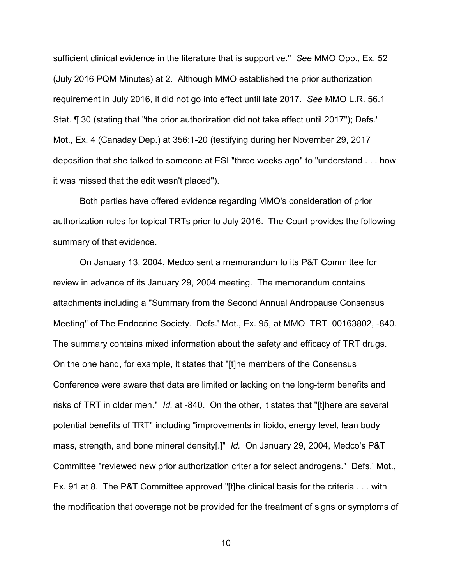sufficient clinical evidence in the literature that is supportive." *See* MMO Opp., Ex. 52 (July 2016 PQM Minutes) at 2.Although MMO established the prior authorization requirement in July 2016, it did not go into effect until late 2017. *See* MMO L.R. 56.1 Stat. ¶ 30 (stating that "the prior authorization did not take effect until 2017"); Defs.' Mot., Ex. 4 (Canaday Dep.) at 356:1-20 (testifying during her November 29, 2017 deposition that she talked to someone at ESI "three weeks ago" to "understand . . . how it was missed that the edit wasn't placed").

Both parties have offered evidence regarding MMO's consideration of prior authorization rules for topical TRTs prior to July 2016. The Court provides the following summary of that evidence.

On January 13, 2004, Medco sent a memorandum to its P&T Committee for review in advance of its January 29, 2004 meeting. The memorandum contains attachments including a "Summary from the Second Annual Andropause Consensus Meeting" of The Endocrine Society. Defs.' Mot., Ex. 95, at MMO\_TRT\_00163802, -840. The summary contains mixed information about the safety and efficacy of TRT drugs. On the one hand, for example, it states that "[t]he members of the Consensus Conference were aware that data are limited or lacking on the long-term benefits and risks of TRT in older men." *Id.* at -840.On the other, it states that "[t]here are several potential benefits of TRT" including "improvements in libido, energy level, lean body mass, strength, and bone mineral density[.]" *Id.* On January 29, 2004, Medco's P&T Committee "reviewed new prior authorization criteria for select androgens." Defs.' Mot., Ex. 91 at 8. The P&T Committee approved "[t]he clinical basis for the criteria . . . with the modification that coverage not be provided for the treatment of signs or symptoms of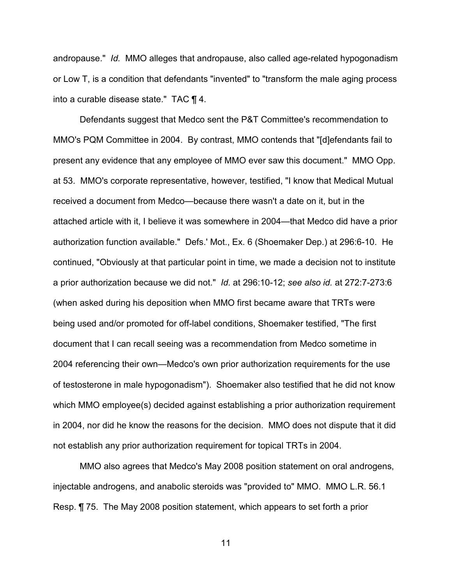andropause." *Id.* MMO alleges that andropause, also called age-related hypogonadism or Low T, is a condition that defendants "invented" to "transform the male aging process into a curable disease state." TAC ¶ 4.

Defendants suggest that Medco sent the P&T Committee's recommendation to MMO's PQM Committee in 2004. By contrast, MMO contends that "[d]efendants fail to present any evidence that any employee of MMO ever saw this document." MMO Opp. at 53. MMO's corporate representative, however, testified, "I know that Medical Mutual received a document from Medco—because there wasn't a date on it, but in the attached article with it, I believe it was somewhere in 2004—that Medco did have a prior authorization function available." Defs.' Mot., Ex. 6 (Shoemaker Dep.) at 296:6-10. He continued, "Obviously at that particular point in time, we made a decision not to institute a prior authorization because we did not." *Id.* at 296:10-12; *see also id.* at 272:7-273:6 (when asked during his deposition when MMO first became aware that TRTs were being used and/or promoted for off-label conditions, Shoemaker testified, "The first document that I can recall seeing was a recommendation from Medco sometime in 2004 referencing their own—Medco's own prior authorization requirements for the use of testosterone in male hypogonadism"). Shoemaker also testified that he did not know which MMO employee(s) decided against establishing a prior authorization requirement in 2004, nor did he know the reasons for the decision. MMO does not dispute that it did not establish any prior authorization requirement for topical TRTs in 2004.

MMO also agrees that Medco's May 2008 position statement on oral androgens, injectable androgens, and anabolic steroids was "provided to" MMO. MMO L.R. 56.1 Resp. ¶ 75. The May 2008 position statement, which appears to set forth a prior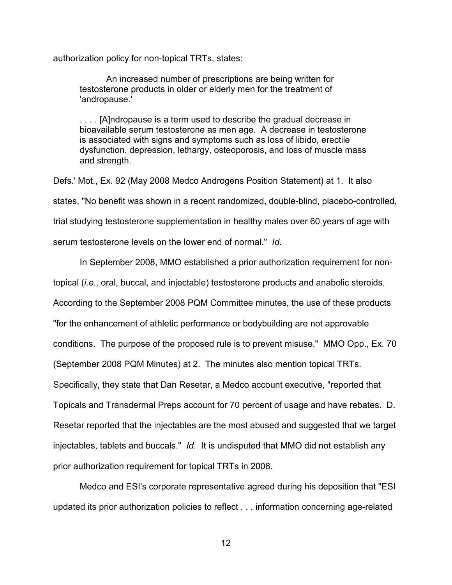authorization policy for non-topical TRTs, states:

An increased number of prescriptions are being written for testosterone products in older or elderly men for the treatment of 'andropause.'

. . . . [A]ndropause is a term used to describe the gradual decrease in bioavailable serum testosterone as men age. A decrease in testosterone is associated with signs and symptoms such as loss of libido, erectile dysfunction, depression, lethargy, osteoporosis, and loss of muscle mass and strength.

Defs.' Mot., Ex. 92 (May 2008 Medco Androgens Position Statement) at 1. It also states, "No benefit was shown in a recent randomized, double-blind, placebo-controlled, trial studying testosterone supplementation in healthy males over 60 years of age with serum testosterone levels on the lower end of normal." *Id.* 

In September 2008, MMO established a prior authorization requirement for non-

topical (*i.e.*, oral, buccal, and injectable) testosterone products and anabolic steroids.

According to the September 2008 PQM Committee minutes, the use of these products

"for the enhancement of athletic performance or bodybuilding are not approvable

conditions. The purpose of the proposed rule is to prevent misuse." MMO Opp., Ex. 70

(September 2008 PQM Minutes) at 2. The minutes also mention topical TRTs.

Specifically, they state that Dan Resetar, a Medco account executive, "reported that

Topicals and Transdermal Preps account for 70 percent of usage and have rebates. D.

Resetar reported that the injectables are the most abused and suggested that we target

injectables, tablets and buccals." *Id.* It is undisputed that MMO did not establish any prior authorization requirement for topical TRTs in 2008.

Medco and ESI's corporate representative agreed during his deposition that "ESI updated its prior authorization policies to reflect . . . information concerning age-related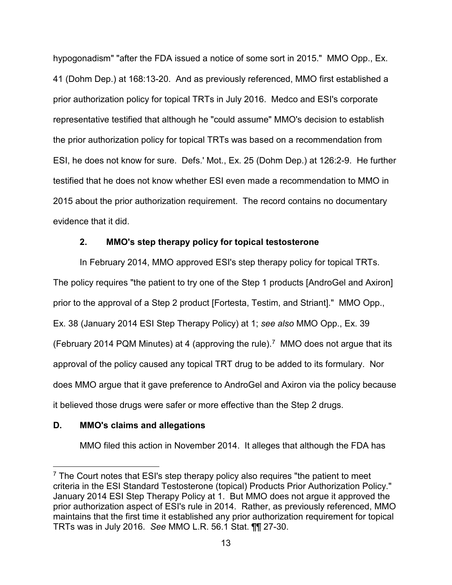hypogonadism" "after the FDA issued a notice of some sort in 2015." MMO Opp., Ex. 41 (Dohm Dep.) at 168:13-20. And as previously referenced, MMO first established a prior authorization policy for topical TRTs in July 2016. Medco and ESI's corporate representative testified that although he "could assume" MMO's decision to establish the prior authorization policy for topical TRTs was based on a recommendation from ESI, he does not know for sure. Defs.' Mot., Ex. 25 (Dohm Dep.) at 126:2-9. He further testified that he does not know whether ESI even made a recommendation to MMO in 2015 about the prior authorization requirement. The record contains no documentary evidence that it did.

## **2. MMO's step therapy policy for topical testosterone**

In February 2014, MMO approved ESI's step therapy policy for topical TRTs. The policy requires "the patient to try one of the Step 1 products [AndroGel and Axiron] prior to the approval of a Step 2 product [Fortesta, Testim, and Striant]." MMO Opp., Ex. 38 (January 2014 ESI Step Therapy Policy) at 1; *see also* MMO Opp., Ex. 39 (February 2014 PQM Minutes) at 4 (approving the rule). [7](#page-12-0) MMO does not argue that its approval of the policy caused any topical TRT drug to be added to its formulary. Nor does MMO argue that it gave preference to AndroGel and Axiron via the policy because it believed those drugs were safer or more effective than the Step 2 drugs.

# **D. MMO's claims and allegations**

MMO filed this action in November 2014. It alleges that although the FDA has

<span id="page-12-0"></span><sup>&</sup>lt;u>.</u>  $7$  The Court notes that ESI's step therapy policy also requires "the patient to meet criteria in the ESI Standard Testosterone (topical) Products Prior Authorization Policy." January 2014 ESI Step Therapy Policy at 1. But MMO does not argue it approved the prior authorization aspect of ESI's rule in 2014. Rather, as previously referenced, MMO maintains that the first time it established any prior authorization requirement for topical TRTs was in July 2016. *See* MMO L.R. 56.1 Stat. ¶¶ 27-30.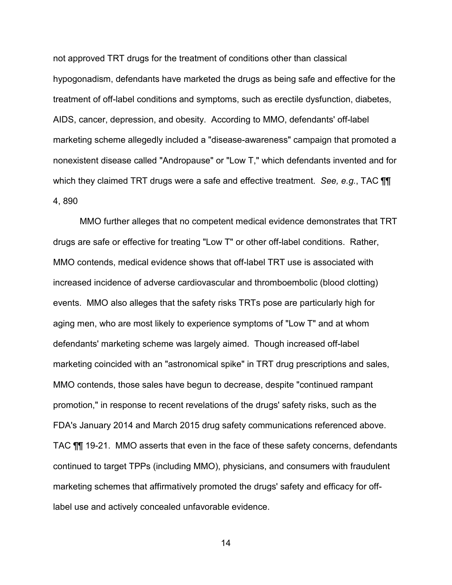not approved TRT drugs for the treatment of conditions other than classical hypogonadism, defendants have marketed the drugs as being safe and effective for the treatment of off-label conditions and symptoms, such as erectile dysfunction, diabetes, AIDS, cancer, depression, and obesity. According to MMO, defendants' off-label marketing scheme allegedly included a "disease-awareness" campaign that promoted a nonexistent disease called "Andropause" or "Low T," which defendants invented and for which they claimed TRT drugs were a safe and effective treatment. *See, e.g.*, TAC ¶¶ 4, 890

MMO further alleges that no competent medical evidence demonstrates that TRT drugs are safe or effective for treating "Low T" or other off-label conditions. Rather, MMO contends, medical evidence shows that off-label TRT use is associated with increased incidence of adverse cardiovascular and thromboembolic (blood clotting) events. MMO also alleges that the safety risks TRTs pose are particularly high for aging men, who are most likely to experience symptoms of "Low T" and at whom defendants' marketing scheme was largely aimed. Though increased off-label marketing coincided with an "astronomical spike" in TRT drug prescriptions and sales, MMO contends, those sales have begun to decrease, despite "continued rampant promotion," in response to recent revelations of the drugs' safety risks, such as the FDA's January 2014 and March 2015 drug safety communications referenced above. TAC ¶¶ 19-21. MMO asserts that even in the face of these safety concerns, defendants continued to target TPPs (including MMO), physicians, and consumers with fraudulent marketing schemes that affirmatively promoted the drugs' safety and efficacy for offlabel use and actively concealed unfavorable evidence.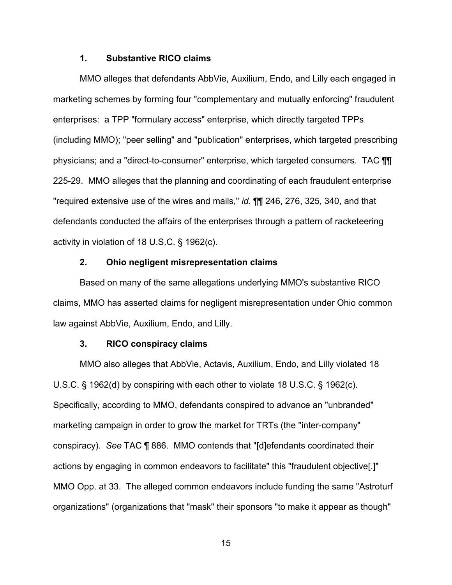### **1. Substantive RICO claims**

MMO alleges that defendants AbbVie, Auxilium, Endo, and Lilly each engaged in marketing schemes by forming four "complementary and mutually enforcing" fraudulent enterprises: a TPP "formulary access" enterprise, which directly targeted TPPs (including MMO); "peer selling" and "publication" enterprises, which targeted prescribing physicians; and a "direct-to-consumer" enterprise, which targeted consumers. TAC ¶¶ 225-29. MMO alleges that the planning and coordinating of each fraudulent enterprise "required extensive use of the wires and mails," *id.* ¶¶ 246, 276, 325, 340, and that defendants conducted the affairs of the enterprises through a pattern of racketeering activity in violation of 18 U.S.C. § 1962(c).

#### **2. Ohio negligent misrepresentation claims**

Based on many of the same allegations underlying MMO's substantive RICO claims, MMO has asserted claims for negligent misrepresentation under Ohio common law against AbbVie, Auxilium, Endo, and Lilly.

#### **3. RICO conspiracy claims**

MMO also alleges that AbbVie, Actavis, Auxilium, Endo, and Lilly violated 18 U.S.C. § 1962(d) by conspiring with each other to violate 18 U.S.C. § 1962(c). Specifically, according to MMO, defendants conspired to advance an "unbranded" marketing campaign in order to grow the market for TRTs (the "inter-company" conspiracy). *See* TAC ¶ 886. MMO contends that "[d]efendants coordinated their actions by engaging in common endeavors to facilitate" this "fraudulent objective[.]" MMO Opp. at 33. The alleged common endeavors include funding the same "Astroturf organizations" (organizations that "mask" their sponsors "to make it appear as though"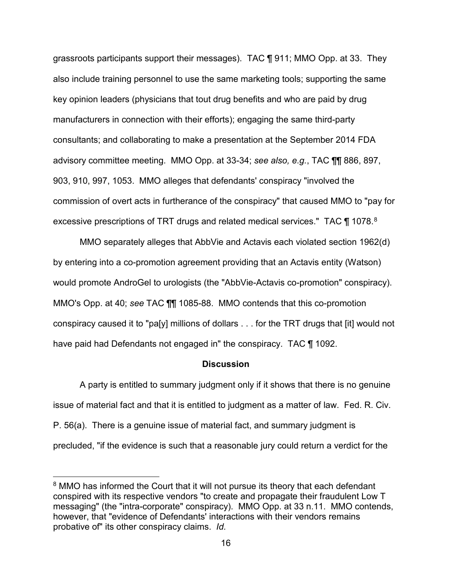grassroots participants support their messages). TAC ¶ 911; MMO Opp. at 33. They also include training personnel to use the same marketing tools; supporting the same key opinion leaders (physicians that tout drug benefits and who are paid by drug manufacturers in connection with their efforts); engaging the same third-party consultants; and collaborating to make a presentation at the September 2014 FDA advisory committee meeting. MMO Opp. at 33-34; *see also, e.g.*, TAC ¶¶ 886, 897, 903, 910, 997, 1053. MMO alleges that defendants' conspiracy "involved the commission of overt acts in furtherance of the conspiracy" that caused MMO to "pay for excessive prescriptions of TRT drugs and related medical services." TAC ¶ 107[8](#page-15-0).8

MMO separately alleges that AbbVie and Actavis each violated section 1962(d) by entering into a co-promotion agreement providing that an Actavis entity (Watson) would promote AndroGel to urologists (the "AbbVie-Actavis co-promotion" conspiracy). MMO's Opp. at 40; *see* TAC ¶¶ 1085-88. MMO contends that this co-promotion conspiracy caused it to "pa[y] millions of dollars . . . for the TRT drugs that [it] would not have paid had Defendants not engaged in" the conspiracy. TAC ¶ 1092.

#### **Discussion**

A party is entitled to summary judgment only if it shows that there is no genuine issue of material fact and that it is entitled to judgment as a matter of law. Fed. R. Civ. P. 56(a). There is a genuine issue of material fact, and summary judgment is precluded, "if the evidence is such that a reasonable jury could return a verdict for the

<u>.</u>

<span id="page-15-0"></span><sup>&</sup>lt;sup>8</sup> MMO has informed the Court that it will not pursue its theory that each defendant conspired with its respective vendors "to create and propagate their fraudulent Low T messaging" (the "intra-corporate" conspiracy). MMO Opp. at 33 n.11. MMO contends, however, that "evidence of Defendants' interactions with their vendors remains probative of" its other conspiracy claims. *Id.*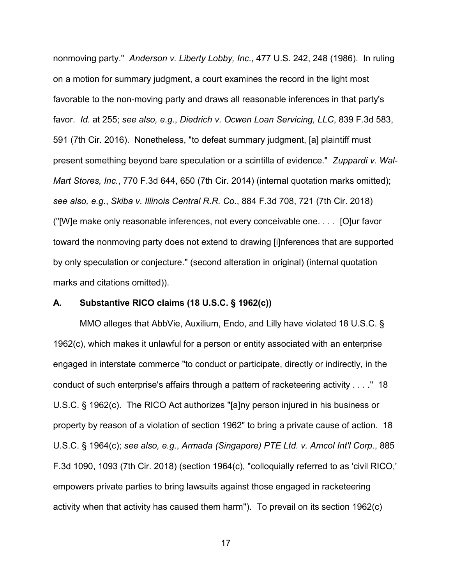nonmoving party." *Anderson v. Liberty Lobby, Inc.*, 477 U.S. 242, 248 (1986). In ruling on a motion for summary judgment, a court examines the record in the light most favorable to the non-moving party and draws all reasonable inferences in that party's favor. *Id.* at 255; *see also, e.g.*, *Diedrich v. Ocwen Loan Servicing, LLC*, 839 F.3d 583, 591 (7th Cir. 2016). Nonetheless, "to defeat summary judgment, [a] plaintiff must present something beyond bare speculation or a scintilla of evidence." *Zuppardi v. Wal-Mart Stores, Inc.*, 770 F.3d 644, 650 (7th Cir. 2014) (internal quotation marks omitted); *see also, e.g.*, *Skiba v. Illinois Central R.R. Co.*, 884 F.3d 708, 721 (7th Cir. 2018) ("[W]e make only reasonable inferences, not every conceivable one. . . . [O]ur favor toward the nonmoving party does not extend to drawing [i]nferences that are supported by only speculation or conjecture." (second alteration in original) (internal quotation marks and citations omitted)).

## **A. Substantive RICO claims (18 U.S.C. § 1962(c))**

MMO alleges that AbbVie, Auxilium, Endo, and Lilly have violated 18 U.S.C. § 1962(c), which makes it unlawful for a person or entity associated with an enterprise engaged in interstate commerce "to conduct or participate, directly or indirectly, in the conduct of such enterprise's affairs through a pattern of racketeering activity . . . ." 18 U.S.C. § 1962(c). The RICO Act authorizes "[a]ny person injured in his business or property by reason of a violation of section 1962" to bring a private cause of action. 18 U.S.C. § 1964(c); *see also, e.g.*, *Armada (Singapore) PTE Ltd. v. Amcol Int'l Corp.*, 885 F.3d 1090, 1093 (7th Cir. 2018) (section 1964(c), "colloquially referred to as 'civil RICO,' empowers private parties to bring lawsuits against those engaged in racketeering activity when that activity has caused them harm"). To prevail on its section 1962(c)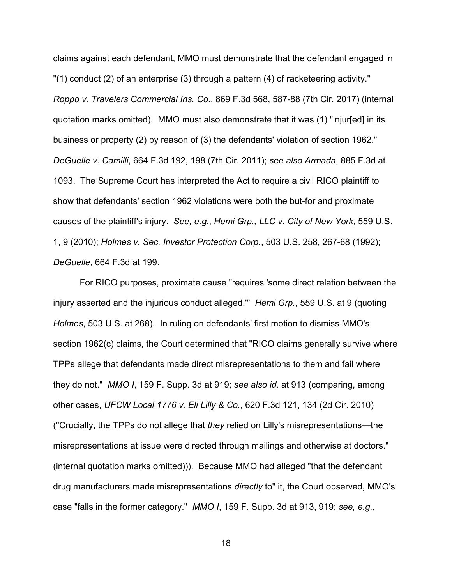claims against each defendant, MMO must demonstrate that the defendant engaged in "(1) conduct (2) of an enterprise (3) through a pattern (4) of racketeering activity." *Roppo v. Travelers Commercial Ins. Co.*, 869 F.3d 568, 587-88 (7th Cir. 2017) (internal quotation marks omitted). MMO must also demonstrate that it was (1) "injur[ed] in its business or property (2) by reason of (3) the defendants' violation of section 1962." *DeGuelle v. Camilli*, 664 F.3d 192, 198 (7th Cir. 2011); *see also Armada*, 885 F.3d at 1093. The Supreme Court has interpreted the Act to require a civil RICO plaintiff to show that defendants' section 1962 violations were both the but-for and proximate causes of the plaintiff's injury. *See, e.g.*, *Hemi Grp., LLC v. City of New York*, 559 U.S. 1, 9 (2010); *Holmes v. Sec. Investor Protection Corp.*, 503 U.S. 258, 267-68 (1992); *DeGuelle*, 664 F.3d at 199.

For RICO purposes, proximate cause "requires 'some direct relation between the injury asserted and the injurious conduct alleged.'" *Hemi Grp.*, 559 U.S. at 9 (quoting *Holmes*, 503 U.S. at 268). In ruling on defendants' first motion to dismiss MMO's section 1962(c) claims, the Court determined that "RICO claims generally survive where TPPs allege that defendants made direct misrepresentations to them and fail where they do not." *MMO I*, 159 F. Supp. 3d at 919; *see also id.* at 913 (comparing, among other cases, *UFCW Local 1776 v. Eli Lilly & Co.*, 620 F.3d 121, 134 (2d Cir. 2010) ("Crucially, the TPPs do not allege that *they* relied on Lilly's misrepresentations—the misrepresentations at issue were directed through mailings and otherwise at doctors." (internal quotation marks omitted))). Because MMO had alleged "that the defendant drug manufacturers made misrepresentations *directly* to" it, the Court observed, MMO's case "falls in the former category." *MMO I*, 159 F. Supp. 3d at 913, 919; *see, e.g.*,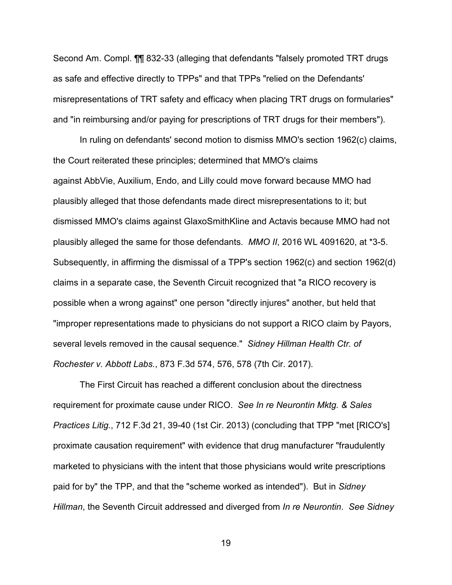Second Am. Compl. ¶¶ 832-33 (alleging that defendants "falsely promoted TRT drugs as safe and effective directly to TPPs" and that TPPs "relied on the Defendants' misrepresentations of TRT safety and efficacy when placing TRT drugs on formularies" and "in reimbursing and/or paying for prescriptions of TRT drugs for their members").

In ruling on defendants' second motion to dismiss MMO's section 1962(c) claims, the Court reiterated these principles; determined that MMO's claims against AbbVie, Auxilium, Endo, and Lilly could move forward because MMO had plausibly alleged that those defendants made direct misrepresentations to it; but dismissed MMO's claims against GlaxoSmithKline and Actavis because MMO had not plausibly alleged the same for those defendants. *MMO II*, 2016 WL 4091620, at \*3-5. Subsequently, in affirming the dismissal of a TPP's section 1962(c) and section 1962(d) claims in a separate case, the Seventh Circuit recognized that "a RICO recovery is possible when a wrong against" one person "directly injures" another, but held that "improper representations made to physicians do not support a RICO claim by Payors, several levels removed in the causal sequence." *Sidney Hillman Health Ctr. of Rochester v. Abbott Labs.*, 873 F.3d 574, 576, 578 (7th Cir. 2017).

 The First Circuit has reached a different conclusion about the directness requirement for proximate cause under RICO. *See In re Neurontin Mktg. & Sales Practices Litig.*, 712 F.3d 21, 39-40 (1st Cir. 2013) (concluding that TPP "met [RICO's] proximate causation requirement" with evidence that drug manufacturer "fraudulently marketed to physicians with the intent that those physicians would write prescriptions paid for by" the TPP, and that the "scheme worked as intended"). But in *Sidney Hillman*, the Seventh Circuit addressed and diverged from *In re Neurontin*. *See Sidney*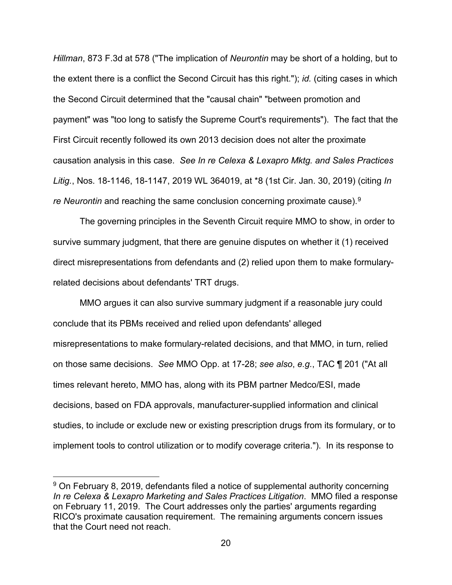*Hillman*, 873 F.3d at 578 ("The implication of *Neurontin* may be short of a holding, but to the extent there is a conflict the Second Circuit has this right."); *id.* (citing cases in which the Second Circuit determined that the "causal chain" "between promotion and payment" was "too long to satisfy the Supreme Court's requirements"). The fact that the First Circuit recently followed its own 2013 decision does not alter the proximate causation analysis in this case. *See In re Celexa & Lexapro Mktg. and Sales Practices Litig.*, Nos. 18-1146, 18-1147, 2019 WL 364019, at \*8 (1st Cir. Jan. 30, 2019) (citing *In re Neurontin* and reaching the same conclusion concerning proximate cause).[9](#page-19-0)

The governing principles in the Seventh Circuit require MMO to show, in order to survive summary judgment, that there are genuine disputes on whether it (1) received direct misrepresentations from defendants and (2) relied upon them to make formularyrelated decisions about defendants' TRT drugs.

MMO argues it can also survive summary judgment if a reasonable jury could conclude that its PBMs received and relied upon defendants' alleged misrepresentations to make formulary-related decisions, and that MMO, in turn, relied on those same decisions. *See* MMO Opp. at 17-28; *see also*, *e.g.*, TAC ¶ 201 ("At all times relevant hereto, MMO has, along with its PBM partner Medco/ESI, made decisions, based on FDA approvals, manufacturer-supplied information and clinical studies, to include or exclude new or existing prescription drugs from its formulary, or to implement tools to control utilization or to modify coverage criteria."). In its response to

<u>.</u>

<span id="page-19-0"></span><sup>&</sup>lt;sup>9</sup> On February 8, 2019, defendants filed a notice of supplemental authority concerning *In re Celexa & Lexapro Marketing and Sales Practices Litigation*. MMO filed a response on February 11, 2019. The Court addresses only the parties' arguments regarding RICO's proximate causation requirement. The remaining arguments concern issues that the Court need not reach.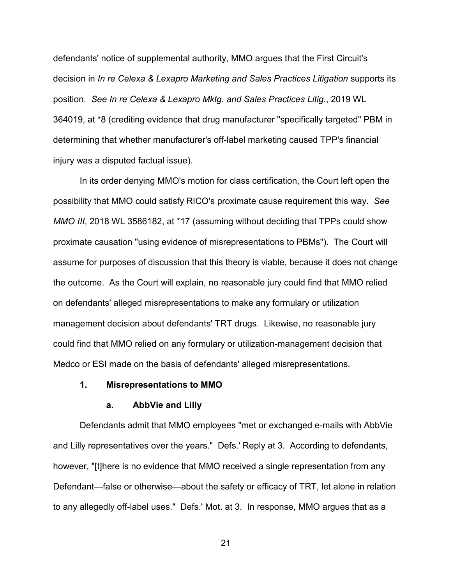defendants' notice of supplemental authority, MMO argues that the First Circuit's decision in *In re Celexa & Lexapro Marketing and Sales Practices Litigation* supports its position. *See In re Celexa & Lexapro Mktg. and Sales Practices Litig.*, 2019 WL 364019, at \*8 (crediting evidence that drug manufacturer "specifically targeted" PBM in determining that whether manufacturer's off-label marketing caused TPP's financial injury was a disputed factual issue).

In its order denying MMO's motion for class certification, the Court left open the possibility that MMO could satisfy RICO's proximate cause requirement this way. *See MMO III*, 2018 WL 3586182, at \*17 (assuming without deciding that TPPs could show proximate causation "using evidence of misrepresentations to PBMs"). The Court will assume for purposes of discussion that this theory is viable, because it does not change the outcome. As the Court will explain, no reasonable jury could find that MMO relied on defendants' alleged misrepresentations to make any formulary or utilization management decision about defendants' TRT drugs. Likewise, no reasonable jury could find that MMO relied on any formulary or utilization-management decision that Medco or ESI made on the basis of defendants' alleged misrepresentations.

#### **1. Misrepresentations to MMO**

#### **a. AbbVie and Lilly**

Defendants admit that MMO employees "met or exchanged e-mails with AbbVie and Lilly representatives over the years." Defs.' Reply at 3. According to defendants, however, "[t]here is no evidence that MMO received a single representation from any Defendant—false or otherwise—about the safety or efficacy of TRT, let alone in relation to any allegedly off-label uses." Defs.' Mot. at 3. In response, MMO argues that as a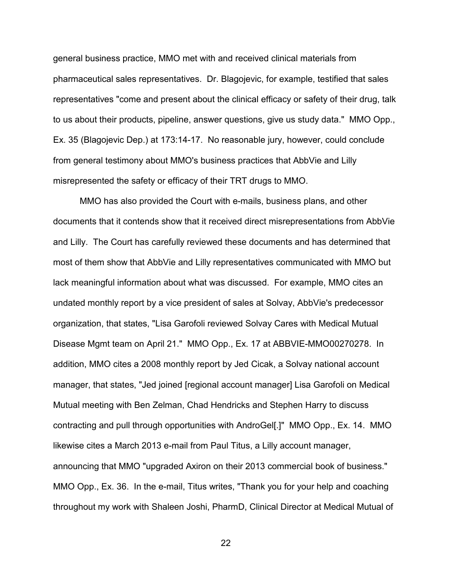general business practice, MMO met with and received clinical materials from pharmaceutical sales representatives. Dr. Blagojevic, for example, testified that sales representatives "come and present about the clinical efficacy or safety of their drug, talk to us about their products, pipeline, answer questions, give us study data." MMO Opp., Ex. 35 (Blagojevic Dep.) at 173:14-17. No reasonable jury, however, could conclude from general testimony about MMO's business practices that AbbVie and Lilly misrepresented the safety or efficacy of their TRT drugs to MMO.

MMO has also provided the Court with e-mails, business plans, and other documents that it contends show that it received direct misrepresentations from AbbVie and Lilly. The Court has carefully reviewed these documents and has determined that most of them show that AbbVie and Lilly representatives communicated with MMO but lack meaningful information about what was discussed. For example, MMO cites an undated monthly report by a vice president of sales at Solvay, AbbVie's predecessor organization, that states, "Lisa Garofoli reviewed Solvay Cares with Medical Mutual Disease Mgmt team on April 21." MMO Opp., Ex. 17 at ABBVIE-MMO00270278. In addition, MMO cites a 2008 monthly report by Jed Cicak, a Solvay national account manager, that states, "Jed joined [regional account manager] Lisa Garofoli on Medical Mutual meeting with Ben Zelman, Chad Hendricks and Stephen Harry to discuss contracting and pull through opportunities with AndroGel[.]" MMO Opp., Ex. 14. MMO likewise cites a March 2013 e-mail from Paul Titus, a Lilly account manager, announcing that MMO "upgraded Axiron on their 2013 commercial book of business." MMO Opp., Ex. 36. In the e-mail, Titus writes, "Thank you for your help and coaching throughout my work with Shaleen Joshi, PharmD, Clinical Director at Medical Mutual of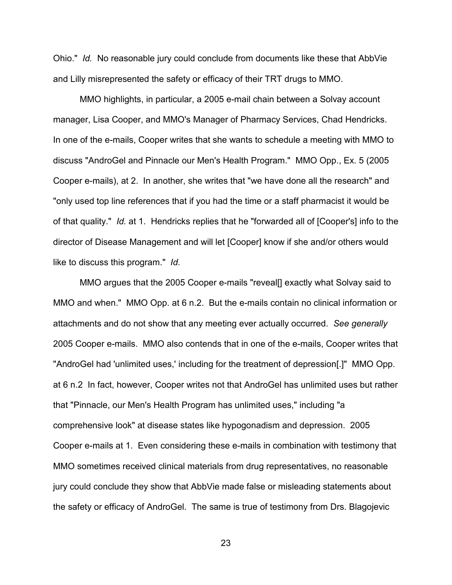Ohio." *Id.* No reasonable jury could conclude from documents like these that AbbVie and Lilly misrepresented the safety or efficacy of their TRT drugs to MMO.

MMO highlights, in particular, a 2005 e-mail chain between a Solvay account manager, Lisa Cooper, and MMO's Manager of Pharmacy Services, Chad Hendricks. In one of the e-mails, Cooper writes that she wants to schedule a meeting with MMO to discuss "AndroGel and Pinnacle our Men's Health Program." MMO Opp., Ex. 5 (2005 Cooper e-mails), at 2. In another, she writes that "we have done all the research" and "only used top line references that if you had the time or a staff pharmacist it would be of that quality." *Id.* at 1. Hendricks replies that he "forwarded all of [Cooper's] info to the director of Disease Management and will let [Cooper] know if she and/or others would like to discuss this program." *Id.* 

MMO argues that the 2005 Cooper e-mails "reveal[] exactly what Solvay said to MMO and when." MMO Opp. at 6 n.2. But the e-mails contain no clinical information or attachments and do not show that any meeting ever actually occurred. *See generally*  2005 Cooper e-mails.MMO also contends that in one of the e-mails, Cooper writes that "AndroGel had 'unlimited uses,' including for the treatment of depression[.]" MMO Opp. at 6 n.2 In fact, however, Cooper writes not that AndroGel has unlimited uses but rather that "Pinnacle, our Men's Health Program has unlimited uses," including "a comprehensive look" at disease states like hypogonadism and depression. 2005 Cooper e-mails at 1. Even considering these e-mails in combination with testimony that MMO sometimes received clinical materials from drug representatives, no reasonable jury could conclude they show that AbbVie made false or misleading statements about the safety or efficacy of AndroGel. The same is true of testimony from Drs. Blagojevic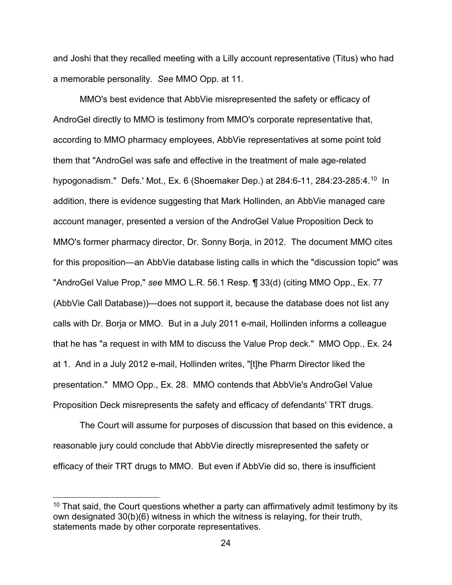and Joshi that they recalled meeting with a Lilly account representative (Titus) who had a memorable personality. *See* MMO Opp. at 11.

MMO's best evidence that AbbVie misrepresented the safety or efficacy of AndroGel directly to MMO is testimony from MMO's corporate representative that, according to MMO pharmacy employees, AbbVie representatives at some point told them that "AndroGel was safe and effective in the treatment of male age-related hypogonadism." Defs.' Mot., Ex. 6 (Shoemaker Dep.) at 284:6-11, 284:23-285:4. [10](#page-23-0) In addition, there is evidence suggesting that Mark Hollinden, an AbbVie managed care account manager, presented a version of the AndroGel Value Proposition Deck to MMO's former pharmacy director, Dr. Sonny Borja, in 2012. The document MMO cites for this proposition—an AbbVie database listing calls in which the "discussion topic" was "AndroGel Value Prop," *see* MMO L.R. 56.1 Resp. ¶ 33(d) (citing MMO Opp., Ex. 77 (AbbVie Call Database))—does not support it, because the database does not list any calls with Dr. Borja or MMO. But in a July 2011 e-mail, Hollinden informs a colleague that he has "a request in with MM to discuss the Value Prop deck." MMO Opp., Ex. 24 at 1. And in a July 2012 e-mail, Hollinden writes, "[t]he Pharm Director liked the presentation." MMO Opp., Ex. 28. MMO contends that AbbVie's AndroGel Value Proposition Deck misrepresents the safety and efficacy of defendants' TRT drugs.

The Court will assume for purposes of discussion that based on this evidence, a reasonable jury could conclude that AbbVie directly misrepresented the safety or efficacy of their TRT drugs to MMO. But even if AbbVie did so, there is insufficient

-

<span id="page-23-0"></span> $10$  That said, the Court questions whether a party can affirmatively admit testimony by its own designated 30(b)(6) witness in which the witness is relaying, for their truth, statements made by other corporate representatives.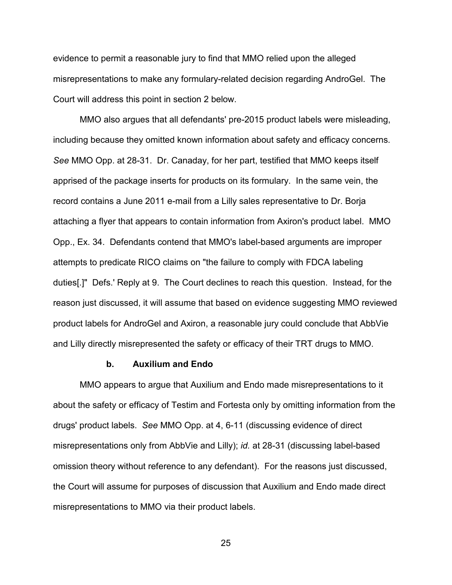evidence to permit a reasonable jury to find that MMO relied upon the alleged misrepresentations to make any formulary-related decision regarding AndroGel. The Court will address this point in section 2 below.

MMO also argues that all defendants' pre-2015 product labels were misleading, including because they omitted known information about safety and efficacy concerns. *See* MMO Opp. at 28-31. Dr. Canaday, for her part, testified that MMO keeps itself apprised of the package inserts for products on its formulary. In the same vein, the record contains a June 2011 e-mail from a Lilly sales representative to Dr. Borja attaching a flyer that appears to contain information from Axiron's product label. MMO Opp., Ex. 34. Defendants contend that MMO's label-based arguments are improper attempts to predicate RICO claims on "the failure to comply with FDCA labeling duties[.]" Defs.' Reply at 9. The Court declines to reach this question. Instead, for the reason just discussed, it will assume that based on evidence suggesting MMO reviewed product labels for AndroGel and Axiron, a reasonable jury could conclude that AbbVie and Lilly directly misrepresented the safety or efficacy of their TRT drugs to MMO.

#### **b. Auxilium and Endo**

MMO appears to argue that Auxilium and Endo made misrepresentations to it about the safety or efficacy of Testim and Fortesta only by omitting information from the drugs' product labels. *See* MMO Opp. at 4, 6-11 (discussing evidence of direct misrepresentations only from AbbVie and Lilly); *id.* at 28-31 (discussing label-based omission theory without reference to any defendant). For the reasons just discussed, the Court will assume for purposes of discussion that Auxilium and Endo made direct misrepresentations to MMO via their product labels.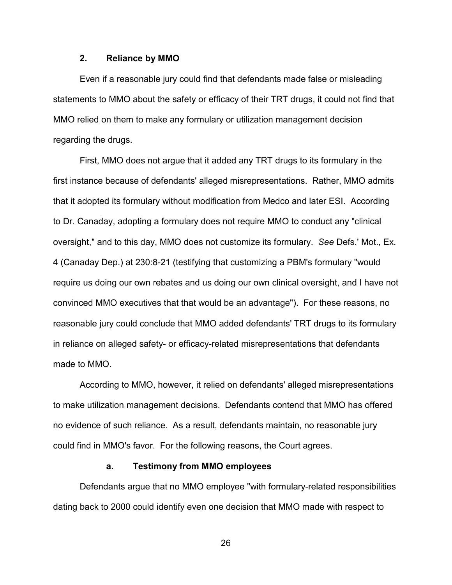### **2. Reliance by MMO**

Even if a reasonable jury could find that defendants made false or misleading statements to MMO about the safety or efficacy of their TRT drugs, it could not find that MMO relied on them to make any formulary or utilization management decision regarding the drugs.

First, MMO does not argue that it added any TRT drugs to its formulary in the first instance because of defendants' alleged misrepresentations. Rather, MMO admits that it adopted its formulary without modification from Medco and later ESI. According to Dr. Canaday, adopting a formulary does not require MMO to conduct any "clinical oversight," and to this day, MMO does not customize its formulary. *See* Defs.' Mot., Ex. 4 (Canaday Dep.) at 230:8-21 (testifying that customizing a PBM's formulary "would require us doing our own rebates and us doing our own clinical oversight, and I have not convinced MMO executives that that would be an advantage"). For these reasons, no reasonable jury could conclude that MMO added defendants' TRT drugs to its formulary in reliance on alleged safety- or efficacy-related misrepresentations that defendants made to MMO.

According to MMO, however, it relied on defendants' alleged misrepresentations to make utilization management decisions. Defendants contend that MMO has offered no evidence of such reliance. As a result, defendants maintain, no reasonable jury could find in MMO's favor. For the following reasons, the Court agrees.

#### **a. Testimony from MMO employees**

Defendants argue that no MMO employee "with formulary-related responsibilities dating back to 2000 could identify even one decision that MMO made with respect to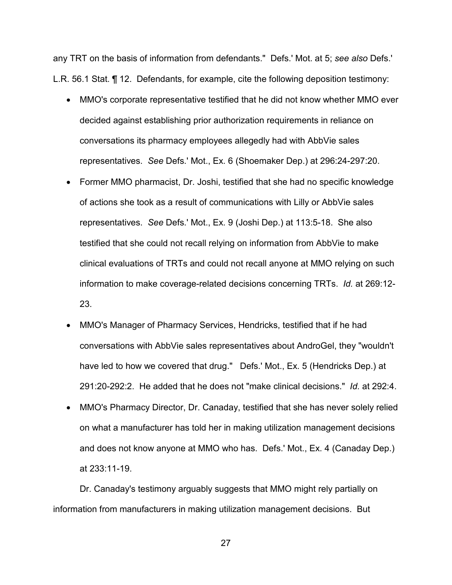any TRT on the basis of information from defendants." Defs.' Mot. at 5; *see also* Defs.' L.R. 56.1 Stat. ¶ 12. Defendants, for example, cite the following deposition testimony:

- MMO's corporate representative testified that he did not know whether MMO ever decided against establishing prior authorization requirements in reliance on conversations its pharmacy employees allegedly had with AbbVie sales representatives. *See* Defs.' Mot., Ex. 6 (Shoemaker Dep.) at 296:24-297:20.
- Former MMO pharmacist, Dr. Joshi, testified that she had no specific knowledge of actions she took as a result of communications with Lilly or AbbVie sales representatives. *See* Defs.' Mot., Ex. 9 (Joshi Dep.) at 113:5-18. She also testified that she could not recall relying on information from AbbVie to make clinical evaluations of TRTs and could not recall anyone at MMO relying on such information to make coverage-related decisions concerning TRTs. *Id.* at 269:12- 23.
- MMO's Manager of Pharmacy Services, Hendricks, testified that if he had conversations with AbbVie sales representatives about AndroGel, they "wouldn't have led to how we covered that drug." Defs.' Mot., Ex. 5 (Hendricks Dep.) at 291:20-292:2. He added that he does not "make clinical decisions." *Id.* at 292:4.
- MMO's Pharmacy Director, Dr. Canaday, testified that she has never solely relied on what a manufacturer has told her in making utilization management decisions and does not know anyone at MMO who has. Defs.' Mot., Ex. 4 (Canaday Dep.) at 233:11-19.

Dr. Canaday's testimony arguably suggests that MMO might rely partially on information from manufacturers in making utilization management decisions. But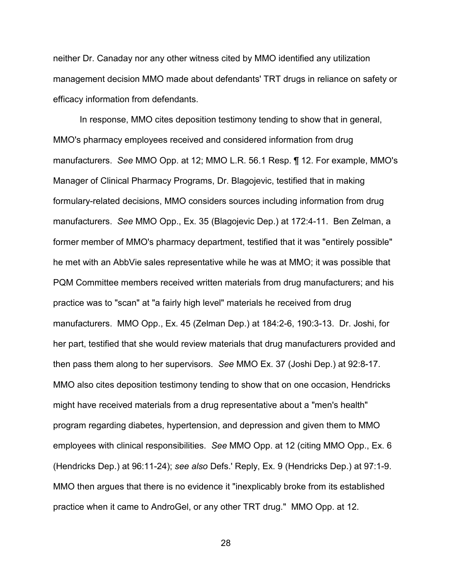neither Dr. Canaday nor any other witness cited by MMO identified any utilization management decision MMO made about defendants' TRT drugs in reliance on safety or efficacy information from defendants.

In response, MMO cites deposition testimony tending to show that in general, MMO's pharmacy employees received and considered information from drug manufacturers. *See* MMO Opp. at 12; MMO L.R. 56.1 Resp. ¶ 12. For example, MMO's Manager of Clinical Pharmacy Programs, Dr. Blagojevic, testified that in making formulary-related decisions, MMO considers sources including information from drug manufacturers. *See* MMO Opp., Ex. 35 (Blagojevic Dep.) at 172:4-11. Ben Zelman, a former member of MMO's pharmacy department, testified that it was "entirely possible" he met with an AbbVie sales representative while he was at MMO; it was possible that PQM Committee members received written materials from drug manufacturers; and his practice was to "scan" at "a fairly high level" materials he received from drug manufacturers.MMO Opp., Ex. 45 (Zelman Dep.) at 184:2-6, 190:3-13. Dr. Joshi, for her part, testified that she would review materials that drug manufacturers provided and then pass them along to her supervisors. *See* MMO Ex. 37 (Joshi Dep.) at 92:8-17. MMO also cites deposition testimony tending to show that on one occasion, Hendricks might have received materials from a drug representative about a "men's health" program regarding diabetes, hypertension, and depression and given them to MMO employees with clinical responsibilities. *See* MMO Opp. at 12 (citing MMO Opp., Ex. 6 (Hendricks Dep.) at 96:11-24); *see also* Defs.' Reply, Ex. 9 (Hendricks Dep.) at 97:1-9. MMO then argues that there is no evidence it "inexplicably broke from its established practice when it came to AndroGel, or any other TRT drug." MMO Opp. at 12.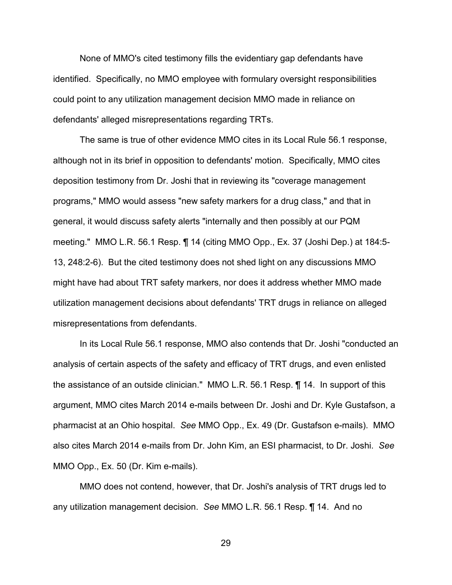None of MMO's cited testimony fills the evidentiary gap defendants have identified. Specifically, no MMO employee with formulary oversight responsibilities could point to any utilization management decision MMO made in reliance on defendants' alleged misrepresentations regarding TRTs.

The same is true of other evidence MMO cites in its Local Rule 56.1 response, although not in its brief in opposition to defendants' motion. Specifically, MMO cites deposition testimony from Dr. Joshi that in reviewing its "coverage management programs," MMO would assess "new safety markers for a drug class," and that in general, it would discuss safety alerts "internally and then possibly at our PQM meeting." MMO L.R. 56.1 Resp. ¶ 14 (citing MMO Opp., Ex. 37 (Joshi Dep.) at 184:5- 13, 248:2-6). But the cited testimony does not shed light on any discussions MMO might have had about TRT safety markers, nor does it address whether MMO made utilization management decisions about defendants' TRT drugs in reliance on alleged misrepresentations from defendants.

In its Local Rule 56.1 response, MMO also contends that Dr. Joshi "conducted an analysis of certain aspects of the safety and efficacy of TRT drugs, and even enlisted the assistance of an outside clinician." MMO L.R. 56.1 Resp. ¶ 14. In support of this argument, MMO cites March 2014 e-mails between Dr. Joshi and Dr. Kyle Gustafson, a pharmacist at an Ohio hospital. *See* MMO Opp., Ex. 49 (Dr. Gustafson e-mails). MMO also cites March 2014 e-mails from Dr. John Kim, an ESI pharmacist, to Dr. Joshi. *See*  MMO Opp., Ex. 50 (Dr. Kim e-mails).

MMO does not contend, however, that Dr. Joshi's analysis of TRT drugs led to any utilization management decision. *See* MMO L.R. 56.1 Resp. ¶ 14. And no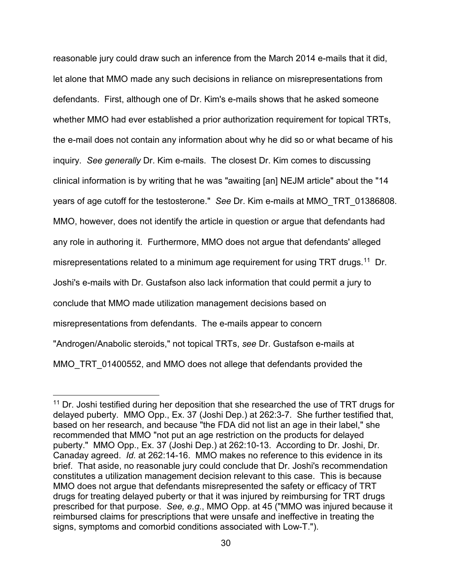reasonable jury could draw such an inference from the March 2014 e-mails that it did, let alone that MMO made any such decisions in reliance on misrepresentations from defendants. First, although one of Dr. Kim's e-mails shows that he asked someone whether MMO had ever established a prior authorization requirement for topical TRTs, the e-mail does not contain any information about why he did so or what became of his inquiry. *See generally* Dr. Kim e-mails. The closest Dr. Kim comes to discussing clinical information is by writing that he was "awaiting [an] NEJM article" about the "14 years of age cutoff for the testosterone." *See* Dr. Kim e-mails at MMO\_TRT\_01386808. MMO, however, does not identify the article in question or argue that defendants had any role in authoring it. Furthermore, MMO does not argue that defendants' alleged misrepresentations related to a minimum age requirement for using TRT drugs.<sup>[11](#page-29-0)</sup> Dr. Joshi's e-mails with Dr. Gustafson also lack information that could permit a jury to conclude that MMO made utilization management decisions based on misrepresentations from defendants. The e-mails appear to concern "Androgen/Anabolic steroids," not topical TRTs, *see* Dr. Gustafson e-mails at MMO\_TRT\_01400552, and MMO does not allege that defendants provided the

-

<span id="page-29-0"></span> $11$  Dr. Joshi testified during her deposition that she researched the use of TRT drugs for delayed puberty. MMO Opp., Ex. 37 (Joshi Dep.) at 262:3-7. She further testified that, based on her research, and because "the FDA did not list an age in their label," she recommended that MMO "not put an age restriction on the products for delayed puberty." MMO Opp., Ex. 37 (Joshi Dep.) at 262:10-13. According to Dr. Joshi, Dr. Canaday agreed. *Id.* at 262:14-16. MMO makes no reference to this evidence in its brief. That aside, no reasonable jury could conclude that Dr. Joshi's recommendation constitutes a utilization management decision relevant to this case. This is because MMO does not argue that defendants misrepresented the safety or efficacy of TRT drugs for treating delayed puberty or that it was injured by reimbursing for TRT drugs prescribed for that purpose. *See, e.g.*, MMO Opp. at 45 ("MMO was injured because it reimbursed claims for prescriptions that were unsafe and ineffective in treating the signs, symptoms and comorbid conditions associated with Low-T.").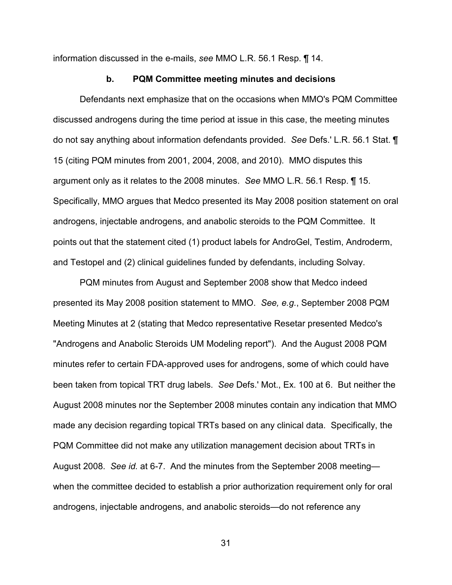information discussed in the e-mails, *see* MMO L.R. 56.1 Resp. ¶ 14.

#### **b. PQM Committee meeting minutes and decisions**

Defendants next emphasize that on the occasions when MMO's PQM Committee discussed androgens during the time period at issue in this case, the meeting minutes do not say anything about information defendants provided. *See* Defs.' L.R. 56.1 Stat. ¶ 15 (citing PQM minutes from 2001, 2004, 2008, and 2010). MMO disputes this argument only as it relates to the 2008 minutes. *See* MMO L.R. 56.1 Resp. ¶ 15. Specifically, MMO argues that Medco presented its May 2008 position statement on oral androgens, injectable androgens, and anabolic steroids to the PQM Committee. It points out that the statement cited (1) product labels for AndroGel, Testim, Androderm, and Testopel and (2) clinical guidelines funded by defendants, including Solvay.

PQM minutes from August and September 2008 show that Medco indeed presented its May 2008 position statement to MMO. *See, e.g.*, September 2008 PQM Meeting Minutes at 2 (stating that Medco representative Resetar presented Medco's "Androgens and Anabolic Steroids UM Modeling report"). And the August 2008 PQM minutes refer to certain FDA-approved uses for androgens, some of which could have been taken from topical TRT drug labels. *See* Defs.' Mot., Ex. 100 at 6. But neither the August 2008 minutes nor the September 2008 minutes contain any indication that MMO made any decision regarding topical TRTs based on any clinical data. Specifically, the PQM Committee did not make any utilization management decision about TRTs in August 2008. *See id.* at 6-7. And the minutes from the September 2008 meeting when the committee decided to establish a prior authorization requirement only for oral androgens, injectable androgens, and anabolic steroids—do not reference any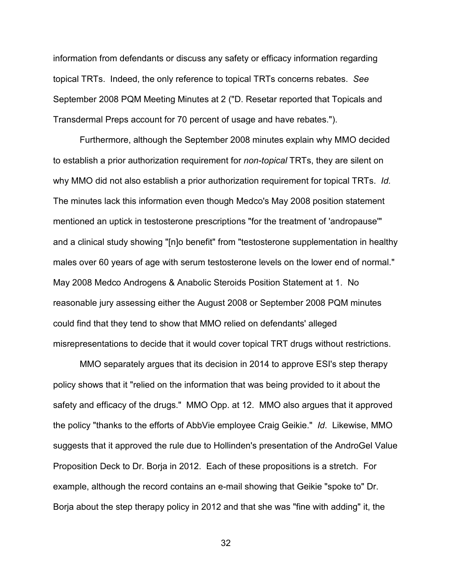information from defendants or discuss any safety or efficacy information regarding topical TRTs. Indeed, the only reference to topical TRTs concerns rebates. *See*  September 2008 PQM Meeting Minutes at 2 ("D. Resetar reported that Topicals and Transdermal Preps account for 70 percent of usage and have rebates.").

Furthermore, although the September 2008 minutes explain why MMO decided to establish a prior authorization requirement for *non-topical* TRTs, they are silent on why MMO did not also establish a prior authorization requirement for topical TRTs. *Id.* The minutes lack this information even though Medco's May 2008 position statement mentioned an uptick in testosterone prescriptions "for the treatment of 'andropause'" and a clinical study showing "[n]o benefit" from "testosterone supplementation in healthy males over 60 years of age with serum testosterone levels on the lower end of normal." May 2008 Medco Androgens & Anabolic Steroids Position Statement at 1. No reasonable jury assessing either the August 2008 or September 2008 PQM minutes could find that they tend to show that MMO relied on defendants' alleged misrepresentations to decide that it would cover topical TRT drugs without restrictions.

MMO separately argues that its decision in 2014 to approve ESI's step therapy policy shows that it "relied on the information that was being provided to it about the safety and efficacy of the drugs." MMO Opp. at 12. MMO also argues that it approved the policy "thanks to the efforts of AbbVie employee Craig Geikie." *Id*. Likewise, MMO suggests that it approved the rule due to Hollinden's presentation of the AndroGel Value Proposition Deck to Dr. Borja in 2012. Each of these propositions is a stretch. For example, although the record contains an e-mail showing that Geikie "spoke to" Dr. Borja about the step therapy policy in 2012 and that she was "fine with adding" it, the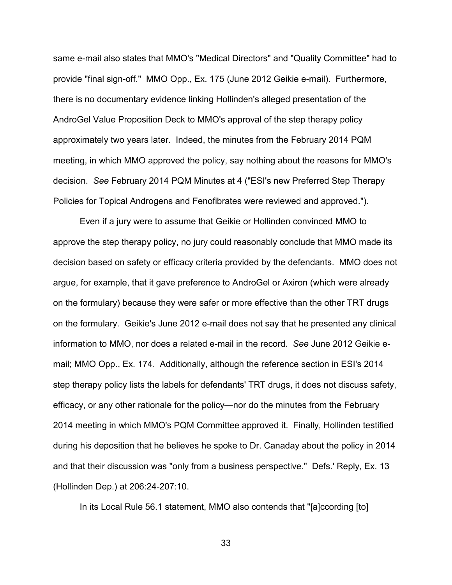same e-mail also states that MMO's "Medical Directors" and "Quality Committee" had to provide "final sign-off." MMO Opp., Ex. 175 (June 2012 Geikie e-mail). Furthermore, there is no documentary evidence linking Hollinden's alleged presentation of the AndroGel Value Proposition Deck to MMO's approval of the step therapy policy approximately two years later. Indeed, the minutes from the February 2014 PQM meeting, in which MMO approved the policy, say nothing about the reasons for MMO's decision. *See* February 2014 PQM Minutes at 4 ("ESI's new Preferred Step Therapy Policies for Topical Androgens and Fenofibrates were reviewed and approved.").

 Even if a jury were to assume that Geikie or Hollinden convinced MMO to approve the step therapy policy, no jury could reasonably conclude that MMO made its decision based on safety or efficacy criteria provided by the defendants. MMO does not argue, for example, that it gave preference to AndroGel or Axiron (which were already on the formulary) because they were safer or more effective than the other TRT drugs on the formulary. Geikie's June 2012 e-mail does not say that he presented any clinical information to MMO, nor does a related e-mail in the record. *See* June 2012 Geikie email; MMO Opp., Ex. 174. Additionally, although the reference section in ESI's 2014 step therapy policy lists the labels for defendants' TRT drugs, it does not discuss safety, efficacy, or any other rationale for the policy—nor do the minutes from the February 2014 meeting in which MMO's PQM Committee approved it. Finally, Hollinden testified during his deposition that he believes he spoke to Dr. Canaday about the policy in 2014 and that their discussion was "only from a business perspective." Defs.' Reply, Ex. 13 (Hollinden Dep.) at 206:24-207:10.

In its Local Rule 56.1 statement, MMO also contends that "[a]ccording [to]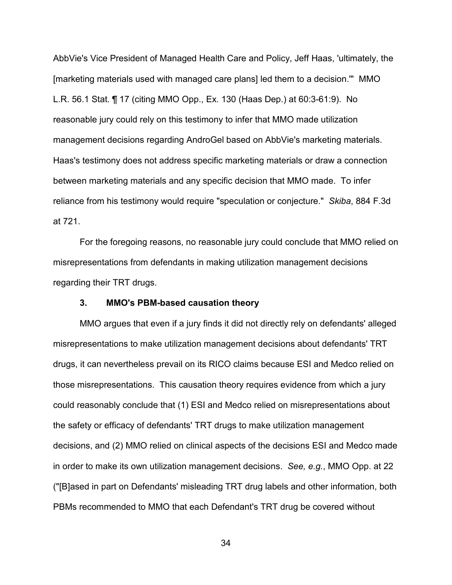AbbVie's Vice President of Managed Health Care and Policy, Jeff Haas, 'ultimately, the [marketing materials used with managed care plans] led them to a decision.'" MMO L.R. 56.1 Stat. ¶ 17 (citing MMO Opp., Ex. 130 (Haas Dep.) at 60:3-61:9). No reasonable jury could rely on this testimony to infer that MMO made utilization management decisions regarding AndroGel based on AbbVie's marketing materials. Haas's testimony does not address specific marketing materials or draw a connection between marketing materials and any specific decision that MMO made. To infer reliance from his testimony would require "speculation or conjecture." *Skiba*, 884 F.3d at 721.

For the foregoing reasons, no reasonable jury could conclude that MMO relied on misrepresentations from defendants in making utilization management decisions regarding their TRT drugs.

### **3. MMO's PBM-based causation theory**

MMO argues that even if a jury finds it did not directly rely on defendants' alleged misrepresentations to make utilization management decisions about defendants' TRT drugs, it can nevertheless prevail on its RICO claims because ESI and Medco relied on those misrepresentations. This causation theory requires evidence from which a jury could reasonably conclude that (1) ESI and Medco relied on misrepresentations about the safety or efficacy of defendants' TRT drugs to make utilization management decisions, and (2) MMO relied on clinical aspects of the decisions ESI and Medco made in order to make its own utilization management decisions. *See, e.g.*, MMO Opp. at 22 ("[B]ased in part on Defendants' misleading TRT drug labels and other information, both PBMs recommended to MMO that each Defendant's TRT drug be covered without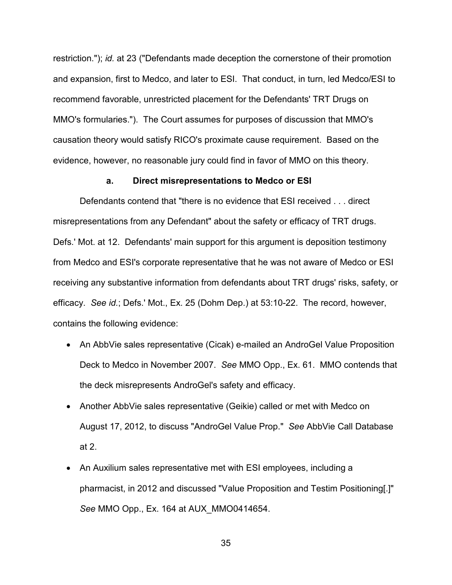restriction."); *id.* at 23 ("Defendants made deception the cornerstone of their promotion and expansion, first to Medco, and later to ESI. That conduct, in turn, led Medco/ESI to recommend favorable, unrestricted placement for the Defendants' TRT Drugs on MMO's formularies."). The Court assumes for purposes of discussion that MMO's causation theory would satisfy RICO's proximate cause requirement. Based on the evidence, however, no reasonable jury could find in favor of MMO on this theory.

#### **a. Direct misrepresentations to Medco or ESI**

Defendants contend that "there is no evidence that ESI received . . . direct misrepresentations from any Defendant" about the safety or efficacy of TRT drugs. Defs.' Mot. at 12. Defendants' main support for this argument is deposition testimony from Medco and ESI's corporate representative that he was not aware of Medco or ESI receiving any substantive information from defendants about TRT drugs' risks, safety, or efficacy. *See id.*; Defs.' Mot., Ex. 25 (Dohm Dep.) at 53:10-22. The record, however, contains the following evidence:

- An AbbVie sales representative (Cicak) e-mailed an AndroGel Value Proposition Deck to Medco in November 2007. *See* MMO Opp., Ex. 61. MMO contends that the deck misrepresents AndroGel's safety and efficacy.
- Another AbbVie sales representative (Geikie) called or met with Medco on August 17, 2012, to discuss "AndroGel Value Prop." *See* AbbVie Call Database at 2.
- An Auxilium sales representative met with ESI employees, including a pharmacist, in 2012 and discussed "Value Proposition and Testim Positioning[.]" *See* MMO Opp., Ex. 164 at AUX\_MMO0414654.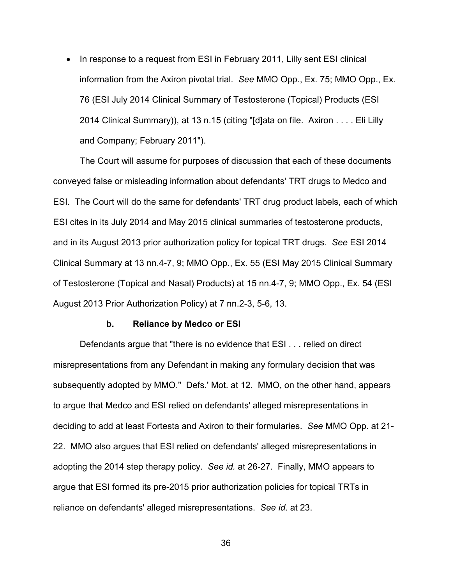• In response to a request from ESI in February 2011, Lilly sent ESI clinical information from the Axiron pivotal trial. *See* MMO Opp., Ex. 75; MMO Opp., Ex. 76 (ESI July 2014 Clinical Summary of Testosterone (Topical) Products (ESI 2014 Clinical Summary)), at 13 n.15 (citing "[d]ata on file. Axiron . . . . Eli Lilly and Company; February 2011").

The Court will assume for purposes of discussion that each of these documents conveyed false or misleading information about defendants' TRT drugs to Medco and ESI. The Court will do the same for defendants' TRT drug product labels, each of which ESI cites in its July 2014 and May 2015 clinical summaries of testosterone products, and in its August 2013 prior authorization policy for topical TRT drugs. *See* ESI 2014 Clinical Summary at 13 nn.4-7, 9; MMO Opp., Ex. 55 (ESI May 2015 Clinical Summary of Testosterone (Topical and Nasal) Products) at 15 nn.4-7, 9; MMO Opp., Ex. 54 (ESI August 2013 Prior Authorization Policy) at 7 nn.2-3, 5-6, 13.

#### **b. Reliance by Medco or ESI**

Defendants argue that "there is no evidence that ESI . . . relied on direct misrepresentations from any Defendant in making any formulary decision that was subsequently adopted by MMO." Defs.' Mot. at 12. MMO, on the other hand, appears to argue that Medco and ESI relied on defendants' alleged misrepresentations in deciding to add at least Fortesta and Axiron to their formularies. *See* MMO Opp. at 21- 22. MMO also argues that ESI relied on defendants' alleged misrepresentations in adopting the 2014 step therapy policy. *See id.* at 26-27. Finally, MMO appears to argue that ESI formed its pre-2015 prior authorization policies for topical TRTs in reliance on defendants' alleged misrepresentations. *See id.* at 23.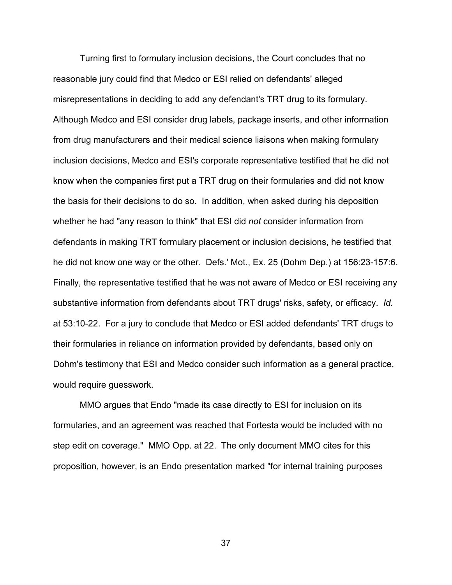Turning first to formulary inclusion decisions, the Court concludes that no reasonable jury could find that Medco or ESI relied on defendants' alleged misrepresentations in deciding to add any defendant's TRT drug to its formulary. Although Medco and ESI consider drug labels, package inserts, and other information from drug manufacturers and their medical science liaisons when making formulary inclusion decisions, Medco and ESI's corporate representative testified that he did not know when the companies first put a TRT drug on their formularies and did not know the basis for their decisions to do so. In addition, when asked during his deposition whether he had "any reason to think" that ESI did *not* consider information from defendants in making TRT formulary placement or inclusion decisions, he testified that he did not know one way or the other. Defs.' Mot., Ex. 25 (Dohm Dep.) at 156:23-157:6. Finally, the representative testified that he was not aware of Medco or ESI receiving any substantive information from defendants about TRT drugs' risks, safety, or efficacy. *Id.*  at 53:10-22. For a jury to conclude that Medco or ESI added defendants' TRT drugs to their formularies in reliance on information provided by defendants, based only on Dohm's testimony that ESI and Medco consider such information as a general practice, would require guesswork.

MMO argues that Endo "made its case directly to ESI for inclusion on its formularies, and an agreement was reached that Fortesta would be included with no step edit on coverage." MMO Opp. at 22. The only document MMO cites for this proposition, however, is an Endo presentation marked "for internal training purposes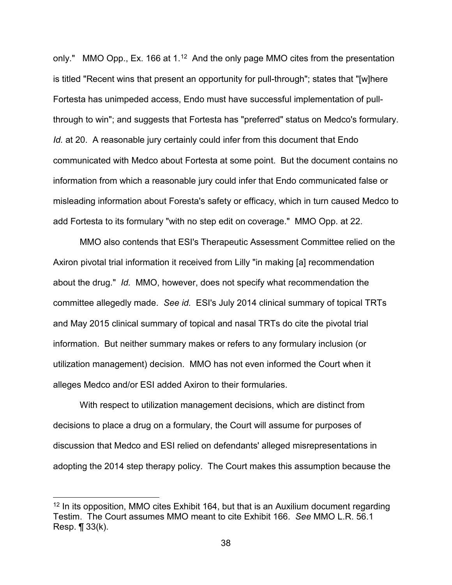only." MMO Opp., Ex. 166 at 1.<sup>[12](#page-37-0)</sup> And the only page MMO cites from the presentation is titled "Recent wins that present an opportunity for pull-through"; states that "[w]here Fortesta has unimpeded access, Endo must have successful implementation of pullthrough to win"; and suggests that Fortesta has "preferred" status on Medco's formulary. *Id.* at 20. A reasonable jury certainly could infer from this document that Endo communicated with Medco about Fortesta at some point. But the document contains no information from which a reasonable jury could infer that Endo communicated false or misleading information about Foresta's safety or efficacy, which in turn caused Medco to add Fortesta to its formulary "with no step edit on coverage." MMO Opp. at 22.

 MMO also contends that ESI's Therapeutic Assessment Committee relied on the Axiron pivotal trial information it received from Lilly "in making [a] recommendation about the drug." *Id.* MMO, however, does not specify what recommendation the committee allegedly made. *See id.* ESI's July 2014 clinical summary of topical TRTs and May 2015 clinical summary of topical and nasal TRTs do cite the pivotal trial information. But neither summary makes or refers to any formulary inclusion (or utilization management) decision. MMO has not even informed the Court when it alleges Medco and/or ESI added Axiron to their formularies.

With respect to utilization management decisions, which are distinct from decisions to place a drug on a formulary, the Court will assume for purposes of discussion that Medco and ESI relied on defendants' alleged misrepresentations in adopting the 2014 step therapy policy. The Court makes this assumption because the

-

<span id="page-37-0"></span> $12$  In its opposition, MMO cites Exhibit 164, but that is an Auxilium document regarding Testim. The Court assumes MMO meant to cite Exhibit 166. *See* MMO L.R. 56.1 Resp.  $\P$  33(k).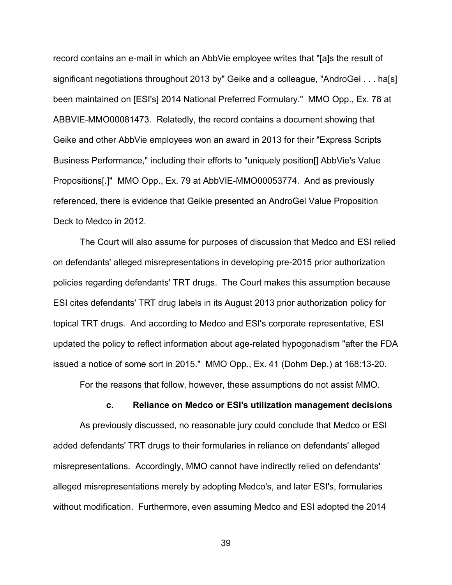record contains an e-mail in which an AbbVie employee writes that "[a]s the result of significant negotiations throughout 2013 by" Geike and a colleague, "AndroGel . . . ha[s] been maintained on [ESI's] 2014 National Preferred Formulary." MMO Opp., Ex. 78 at ABBVIE-MMO00081473. Relatedly, the record contains a document showing that Geike and other AbbVie employees won an award in 2013 for their "Express Scripts Business Performance," including their efforts to "uniquely position[] AbbVie's Value Propositions[.]" MMO Opp., Ex. 79 at AbbVIE-MMO00053774. And as previously referenced, there is evidence that Geikie presented an AndroGel Value Proposition Deck to Medco in 2012.

 The Court will also assume for purposes of discussion that Medco and ESI relied on defendants' alleged misrepresentations in developing pre-2015 prior authorization policies regarding defendants' TRT drugs. The Court makes this assumption because ESI cites defendants' TRT drug labels in its August 2013 prior authorization policy for topical TRT drugs. And according to Medco and ESI's corporate representative, ESI updated the policy to reflect information about age-related hypogonadism "after the FDA issued a notice of some sort in 2015." MMO Opp., Ex. 41 (Dohm Dep.) at 168:13-20.

For the reasons that follow, however, these assumptions do not assist MMO.

#### **c. Reliance on Medco or ESI's utilization management decisions**

As previously discussed, no reasonable jury could conclude that Medco or ESI added defendants' TRT drugs to their formularies in reliance on defendants' alleged misrepresentations. Accordingly, MMO cannot have indirectly relied on defendants' alleged misrepresentations merely by adopting Medco's, and later ESI's, formularies without modification. Furthermore, even assuming Medco and ESI adopted the 2014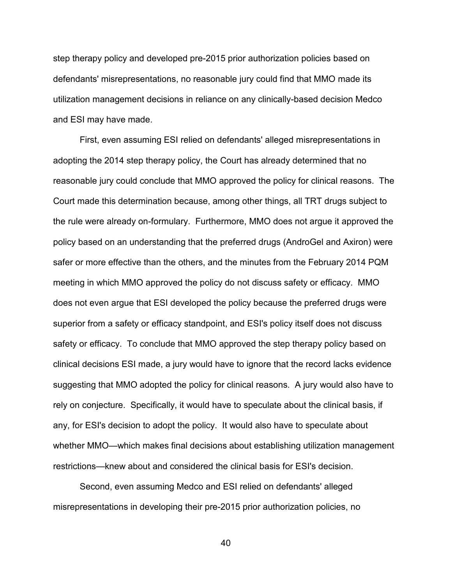step therapy policy and developed pre-2015 prior authorization policies based on defendants' misrepresentations, no reasonable jury could find that MMO made its utilization management decisions in reliance on any clinically-based decision Medco and ESI may have made.

First, even assuming ESI relied on defendants' alleged misrepresentations in adopting the 2014 step therapy policy, the Court has already determined that no reasonable jury could conclude that MMO approved the policy for clinical reasons. The Court made this determination because, among other things, all TRT drugs subject to the rule were already on-formulary. Furthermore, MMO does not argue it approved the policy based on an understanding that the preferred drugs (AndroGel and Axiron) were safer or more effective than the others, and the minutes from the February 2014 PQM meeting in which MMO approved the policy do not discuss safety or efficacy. MMO does not even argue that ESI developed the policy because the preferred drugs were superior from a safety or efficacy standpoint, and ESI's policy itself does not discuss safety or efficacy. To conclude that MMO approved the step therapy policy based on clinical decisions ESI made, a jury would have to ignore that the record lacks evidence suggesting that MMO adopted the policy for clinical reasons. A jury would also have to rely on conjecture. Specifically, it would have to speculate about the clinical basis, if any, for ESI's decision to adopt the policy. It would also have to speculate about whether MMO—which makes final decisions about establishing utilization management restrictions—knew about and considered the clinical basis for ESI's decision.

Second, even assuming Medco and ESI relied on defendants' alleged misrepresentations in developing their pre-2015 prior authorization policies, no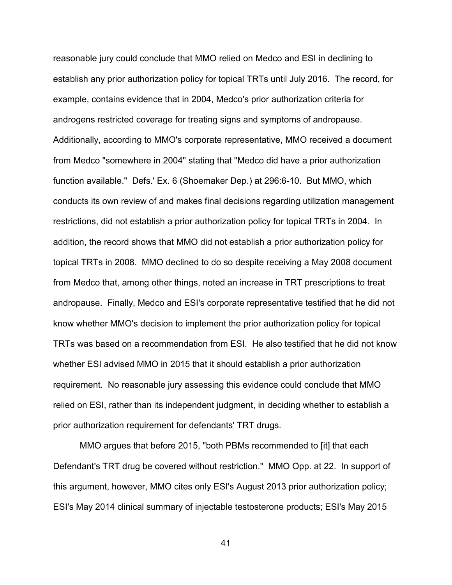reasonable jury could conclude that MMO relied on Medco and ESI in declining to establish any prior authorization policy for topical TRTs until July 2016. The record, for example, contains evidence that in 2004, Medco's prior authorization criteria for androgens restricted coverage for treating signs and symptoms of andropause. Additionally, according to MMO's corporate representative, MMO received a document from Medco "somewhere in 2004" stating that "Medco did have a prior authorization function available." Defs.' Ex. 6 (Shoemaker Dep.) at 296:6-10. But MMO, which conducts its own review of and makes final decisions regarding utilization management restrictions, did not establish a prior authorization policy for topical TRTs in 2004. In addition, the record shows that MMO did not establish a prior authorization policy for topical TRTs in 2008. MMO declined to do so despite receiving a May 2008 document from Medco that, among other things, noted an increase in TRT prescriptions to treat andropause. Finally, Medco and ESI's corporate representative testified that he did not know whether MMO's decision to implement the prior authorization policy for topical TRTs was based on a recommendation from ESI. He also testified that he did not know whether ESI advised MMO in 2015 that it should establish a prior authorization requirement. No reasonable jury assessing this evidence could conclude that MMO relied on ESI, rather than its independent judgment, in deciding whether to establish a prior authorization requirement for defendants' TRT drugs.

MMO argues that before 2015, "both PBMs recommended to [it] that each Defendant's TRT drug be covered without restriction." MMO Opp. at 22. In support of this argument, however, MMO cites only ESI's August 2013 prior authorization policy; ESI's May 2014 clinical summary of injectable testosterone products; ESI's May 2015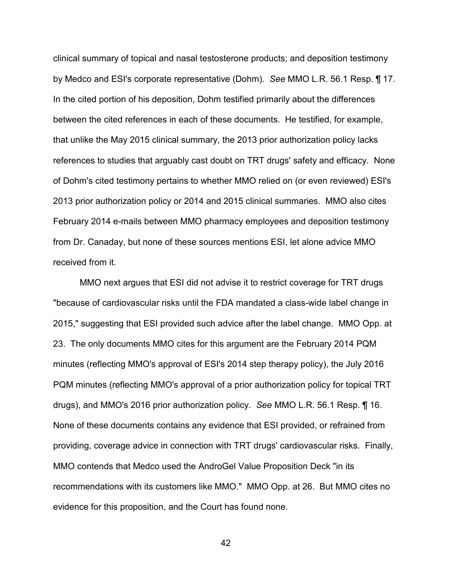clinical summary of topical and nasal testosterone products; and deposition testimony by Medco and ESI's corporate representative (Dohm). *See* MMO L.R. 56.1 Resp. ¶ 17. In the cited portion of his deposition, Dohm testified primarily about the differences between the cited references in each of these documents. He testified, for example, that unlike the May 2015 clinical summary, the 2013 prior authorization policy lacks references to studies that arguably cast doubt on TRT drugs' safety and efficacy. None of Dohm's cited testimony pertains to whether MMO relied on (or even reviewed) ESI's 2013 prior authorization policy or 2014 and 2015 clinical summaries. MMO also cites February 2014 e-mails between MMO pharmacy employees and deposition testimony from Dr. Canaday, but none of these sources mentions ESI, let alone advice MMO received from it.

MMO next argues that ESI did not advise it to restrict coverage for TRT drugs "because of cardiovascular risks until the FDA mandated a class-wide label change in 2015," suggesting that ESI provided such advice after the label change. MMO Opp. at 23. The only documents MMO cites for this argument are the February 2014 PQM minutes (reflecting MMO's approval of ESI's 2014 step therapy policy), the July 2016 PQM minutes (reflecting MMO's approval of a prior authorization policy for topical TRT drugs), and MMO's 2016 prior authorization policy. *See* MMO L.R. 56.1 Resp. ¶ 16. None of these documents contains any evidence that ESI provided, or refrained from providing, coverage advice in connection with TRT drugs' cardiovascular risks. Finally, MMO contends that Medco used the AndroGel Value Proposition Deck "in its recommendations with its customers like MMO." MMO Opp. at 26. But MMO cites no evidence for this proposition, and the Court has found none.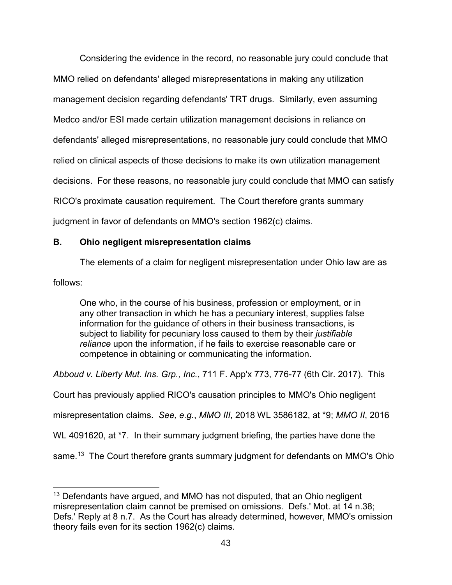Considering the evidence in the record, no reasonable jury could conclude that MMO relied on defendants' alleged misrepresentations in making any utilization management decision regarding defendants' TRT drugs. Similarly, even assuming Medco and/or ESI made certain utilization management decisions in reliance on defendants' alleged misrepresentations, no reasonable jury could conclude that MMO relied on clinical aspects of those decisions to make its own utilization management decisions. For these reasons, no reasonable jury could conclude that MMO can satisfy RICO's proximate causation requirement. The Court therefore grants summary judgment in favor of defendants on MMO's section 1962(c) claims.

# **B. Ohio negligent misrepresentation claims**

The elements of a claim for negligent misrepresentation under Ohio law are as

follows:

One who, in the course of his business, profession or employment, or in any other transaction in which he has a pecuniary interest, supplies false information for the guidance of others in their business transactions, is subject to liability for pecuniary loss caused to them by their *justifiable reliance* upon the information, if he fails to exercise reasonable care or competence in obtaining or communicating the information.

*Abboud v. Liberty Mut. Ins. Grp., Inc.*, 711 F. App'x 773, 776-77 (6th Cir. 2017). This

Court has previously applied RICO's causation principles to MMO's Ohio negligent

misrepresentation claims. *See, e.g.*, *MMO III*, 2018 WL 3586182, at \*9; *MMO II*, 2016

WL 4091620, at \*7. In their summary judgment briefing, the parties have done the

same.<sup>[13](#page-42-0)</sup> The Court therefore grants summary judgment for defendants on MMO's Ohio

<span id="page-42-0"></span><sup>&</sup>lt;u>.</u>  $13$  Defendants have argued, and MMO has not disputed, that an Ohio negligent misrepresentation claim cannot be premised on omissions. Defs.' Mot. at 14 n.38; Defs.' Reply at 8 n.7. As the Court has already determined, however, MMO's omission theory fails even for its section 1962(c) claims.